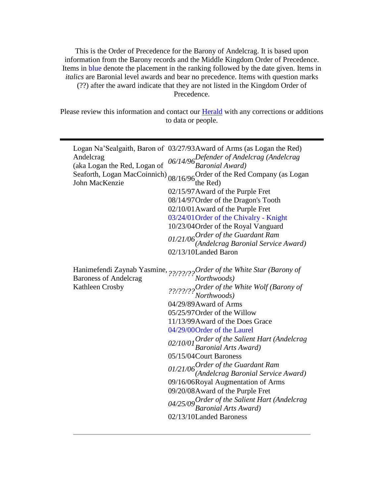This is the Order of Precedence for the Barony of Andelcrag. It is based upon information from the Barony records and the Middle Kingdom Order of Precedence. Items in blue denote the placement in the ranking followed by the date given. Items in *italics* are Baronial level awards and bear no precedence. Items with question marks (??) after the award indicate that they are not listed in the Kingdom Order of Precedence.

Please review this information and contact our **Herald** with any corrections or additions to data or people.

| Andelcrag<br>(aka Logan the Red, Logan of<br>Seaforth, Logan MacCoinnich)<br>John MacKenzie | Logan Na'Sealgaith, Baron of 03/27/93 Award of Arms (as Logan the Red)<br>06/14/96 Defender of Andelcrag (Andelcrag<br>Baronial Award)<br>08/16/96 Order of the Red Company (as Logan<br>the Red)<br>02/15/97 Award of the Purple Fret<br>08/14/97 Order of the Dragon's Tooth<br>02/10/01 Award of the Purple Fret<br>03/24/01 Order of the Chivalry - Knight<br>10/23/04 Order of the Royal Vanguard<br>$01/21/06$ Order of the Guardant Ram<br>(Andelcrag Baronial Service Award)<br>02/13/10Landed Baron                                                                                                                                                          |
|---------------------------------------------------------------------------------------------|-----------------------------------------------------------------------------------------------------------------------------------------------------------------------------------------------------------------------------------------------------------------------------------------------------------------------------------------------------------------------------------------------------------------------------------------------------------------------------------------------------------------------------------------------------------------------------------------------------------------------------------------------------------------------|
| Kathleen Crosby                                                                             | Hanimefendi Zaynab Yasmine, 22/22/22 Order of the White Star (Barony of Baroness of Andelcrag Northwoods)<br>??/??/???Order of the White Wolf (Barony of<br>Northwoods)<br>04/29/89 Award of Arms<br>05/25/97 Order of the Willow<br>11/13/99 Award of the Does Grace<br>04/29/00Order of the Laurel<br>02/10/01 Order of the Salient Hart (Andelcrag<br>Baronial Arts Award)<br>05/15/04 Court Baroness<br>$01/21/06$ Order of the Guardant Ram<br>(Andelcrag Baronial Service Award)<br>09/16/06Royal Augmentation of Arms<br>09/20/08 Award of the Purple Fret<br>04/25/09 Order of the Salient Hart (Andelcrag<br>Baronial Arts Award)<br>02/13/10Landed Baroness |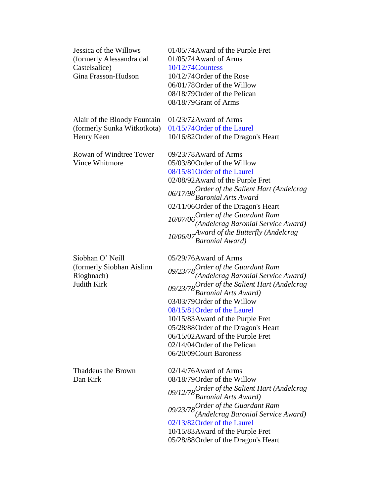Jessica of the Willows (formerly Alessandra dal Castelsalice) Gina Frasson-Hudson

Alair of the Bloody Fountain (formerly Sunka Witkotkota) Henry Keen

Rowan of Windtree Tower Vince Whitmore

Siobhan O' Neill (formerly Siobhan Aislinn Rioghnach) Judith Kirk

Thaddeus the Brown Dan Kirk

01/05/74Award of the Purple Fret 01/05/74Award of Arms 10/12/74Countess 10/12/74Order of the Rose

06/01/78Order of the Willow 08/18/79Order of the Pelican 08/18/79Grant of Arms

01/23/72Award of Arms 01/15/74Order of the Laurel 10/16/82Order of the Dragon's Heart

09/23/78Award of Arms 05/03/80Order of the Willow 08/15/81Order of the Laurel 02/08/92Award of the Purple Fret *06/17/98Order of the Salient Hart (Andelcrag Baronial Arts Award* 02/11/06Order of the Dragon's Heart *10/07/06Order of the Guardant Ram (Andelcrag Baronial Service Award) 10/06/07Award of the Butterfly (Andelcrag Baronial Award)*

05/29/76Award of Arms *09/23/78Order of the Guardant Ram (Andelcrag Baronial Service Award) 09/23/78Order of the Salient Hart (Andelcrag Baronial Arts Award)* 03/03/79Order of the Willow 08/15/81Order of the Laurel 10/15/83Award of the Purple Fret 05/28/88Order of the Dragon's Heart 06/15/02Award of the Purple Fret 02/14/04Order of the Pelican 06/20/09Court Baroness

02/14/76Award of Arms 08/18/79Order of the Willow *09/12/78Order of the Salient Hart (Andelcrag Baronial Arts Award) 09/23/78Order of the Guardant Ram (Andelcrag Baronial Service Award)* 02/13/82Order of the Laurel 10/15/83Award of the Purple Fret 05/28/88Order of the Dragon's Heart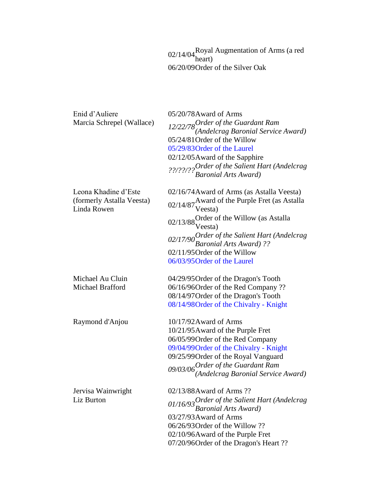02/14/04 Royal Augmentation of Arms (a red heart) 06/20/09Order of the Silver Oak

| Enid d'Auliere                           | 05/20/78Award of Arms                                                            |
|------------------------------------------|----------------------------------------------------------------------------------|
| Marcia Schrepel (Wallace)                |                                                                                  |
|                                          | 12/22/78 Order of the Guardant Ram<br>(Andelcrag Baronial Service Award)         |
|                                          | 05/24/81 Order of the Willow                                                     |
|                                          | 05/29/83 Order of the Laurel                                                     |
|                                          | 02/12/05 Award of the Sapphire                                                   |
|                                          | ??/??/?? <sup>Order</sup> of the Salient Hart (Andelcrag<br>Baronial Arts Award) |
| Leona Khadine d'Este                     | 02/16/74 Award of Arms (as Astalla Veesta)                                       |
| (formerly Astalla Veesta)<br>Linda Rowen | 02/14/87 Award of the Purple Fret (as Astalla<br>Veesta)                         |
|                                          | 02/13/88 Order of the Willow (as Astalla<br>Veesta)                              |
|                                          | 02/17/90 Order of the Salient Hart (Andelcrag<br>Baronial Arts Award) ??         |
|                                          | 02/11/95 Order of the Willow                                                     |
|                                          | 06/03/95 Order of the Laurel                                                     |
| Michael Au Cluin                         | 04/29/95 Order of the Dragon's Tooth                                             |
| Michael Brafford                         | 06/16/96 Order of the Red Company ??                                             |
|                                          | 08/14/97 Order of the Dragon's Tooth                                             |
|                                          | 08/14/98 Order of the Chivalry - Knight                                          |
| Raymond d'Anjou                          | 10/17/92 Award of Arms                                                           |
|                                          | 10/21/95 Award of the Purple Fret                                                |
|                                          | 06/05/99 Order of the Red Company                                                |
|                                          | 09/04/99 Order of the Chivalry - Knight                                          |
|                                          | 09/25/99 Order of the Royal Vanguard                                             |
|                                          | 09/03/06 Order of the Guardant Ram<br>(Andelcrag Baronial Service Award)         |
|                                          |                                                                                  |
| Jervisa Wainwright                       | 02/13/88 Award of Arms ??                                                        |
| Liz Burton                               | 01/16/93 Order of the Salient Hart (Andelcrag<br><b>Baronial Arts Award</b> )    |
|                                          | 03/27/93 Award of Arms                                                           |
|                                          | $06/26/93$ Order of the Willow ??                                                |
|                                          | 02/10/96Award of the Purple Fret                                                 |
|                                          | 07/20/96 Order of the Dragon's Heart ??                                          |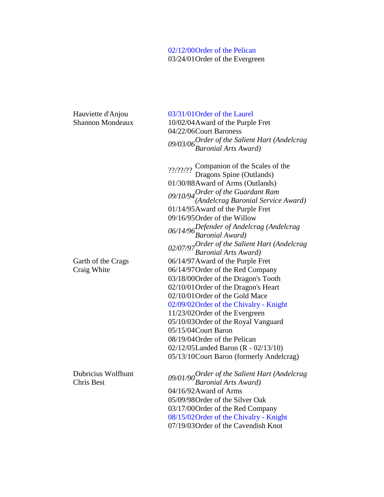## 02/12/00Order of the Pelican 03/24/01Order of the Evergreen

Hauviette d'Anjou Shannon Mondeaux

Garth of the Crags Craig White

Dubricius Wolfhunt

03/31/01Order of the Laurel 10/02/04Award of the Purple Fret 04/22/06Court Baroness *09/03/06Order of the Salient Hart (Andelcrag Baronial Arts Award)*

??/??/?? Companion of the Scales of the Dragons Spine (Outlands) 01/30/88Award of Arms (Outlands) *09/10/94Order of the Guardant Ram (Andelcrag Baronial Service Award)* 01/14/95Award of the Purple Fret 09/16/95Order of the Willow *06/14/96Defender of Andelcrag (Andelcrag Baronial Award) 02/07/97Order of the Salient Hart (Andelcrag Baronial Arts Award)* 06/14/97Award of the Purple Fret 06/14/97Order of the Red Company 03/18/00Order of the Dragon's Tooth 02/10/01Order of the Dragon's Heart 02/10/01Order of the Gold Mace 02/09/02Order of the Chivalry - Knight 11/23/02Order of the Evergreen 05/10/03Order of the Royal Vanguard 05/15/04Court Baron 08/19/04Order of the Pelican 02/12/05Landed Baron (R - 02/13/10) 05/13/10Court Baron (formerly Andelcrag)

Chris Best *09/01/90Order of the Salient Hart (Andelcrag Baronial Arts Award)* 04/16/92Award of Arms 05/09/98Order of the Silver Oak 03/17/00Order of the Red Company 08/15/02Order of the Chivalry - Knight 07/19/03Order of the Cavendish Knot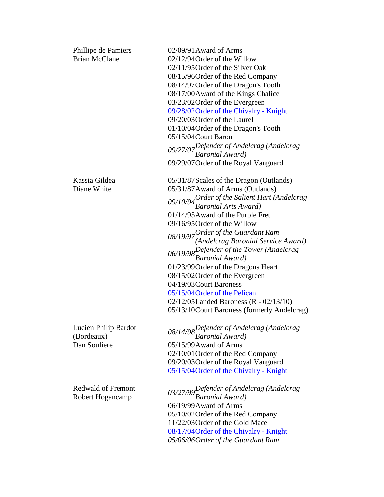| Phillipe de Pamiers<br><b>Brian McClane</b>        | 02/09/91 Award of Arms<br>02/12/94 Order of the Willow<br>02/11/95 Order of the Silver Oak<br>08/15/96 Order of the Red Company<br>08/14/97 Order of the Dragon's Tooth<br>08/17/00Award of the Kings Chalice<br>03/23/02 Order of the Evergreen<br>09/28/02 Order of the Chivalry - Knight<br>09/20/03 Order of the Laurel<br>01/10/04 Order of the Dragon's Tooth<br>05/15/04Court Baron                                                                                                                                                                                                              |
|----------------------------------------------------|---------------------------------------------------------------------------------------------------------------------------------------------------------------------------------------------------------------------------------------------------------------------------------------------------------------------------------------------------------------------------------------------------------------------------------------------------------------------------------------------------------------------------------------------------------------------------------------------------------|
|                                                    | 09/27/07 Defender of Andelcrag (Andelcrag<br>Baronial Award)<br>09/29/07 Order of the Royal Vanguard                                                                                                                                                                                                                                                                                                                                                                                                                                                                                                    |
| Kassia Gildea<br>Diane White                       | 05/31/87 Scales of the Dragon (Outlands)<br>05/31/87 Award of Arms (Outlands)<br>09/10/94 Order of the Salient Hart (Andelcrag<br>Baronial Arts Award)<br>01/14/95 Award of the Purple Fret<br>09/16/95 Order of the Willow<br>08/19/97 Order of the Guardant Ram<br>(Andelcrag Baronial Service Award)<br>$06/19/98$ Defender of the Tower (Andelcragnomial Award)<br>01/23/99 Order of the Dragons Heart<br>08/15/02 Order of the Evergreen<br>04/19/03 Court Baroness<br>05/15/04 Order of the Pelican<br>02/12/05Landed Baroness ( $R - 02/13/10$ )<br>05/13/10 Court Baroness (formerly Andelcrag) |
| Lucien Philip Bardot<br>(Bordeaux)<br>Dan Souliere | 08/14/98 Defender of Andelcrag (Andelcrag<br>Baronial Award)<br>05/15/99 Award of Arms<br>02/10/01 Order of the Red Company<br>09/20/03 Order of the Royal Vanguard<br>05/15/04 Order of the Chivalry - Knight                                                                                                                                                                                                                                                                                                                                                                                          |
| <b>Redwald of Fremont</b><br>Robert Hogancamp      | 03/27/99 Defender of Andelcrag (Andelcrag<br>Baronial Award)<br>06/19/99 Award of Arms<br>05/10/02 Order of the Red Company<br>11/22/03 Order of the Gold Mace<br>08/17/04 Order of the Chivalry - Knight<br>05/06/06 Order of the Guardant Ram                                                                                                                                                                                                                                                                                                                                                         |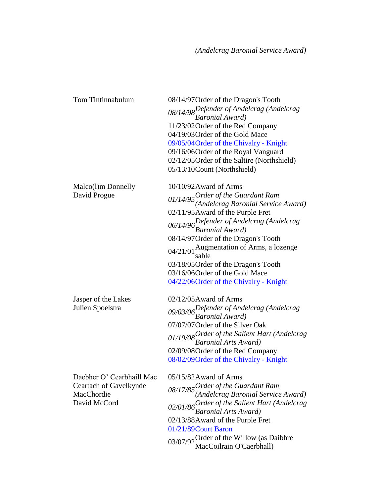| Tom Tintinnabulum                                                                 | 08/14/97 Order of the Dragon's Tooth<br>08/14/98 Defender of Andelcrag (Andelcrag<br>Baronial Award)<br>11/23/02 Order of the Red Company<br>04/19/03 Order of the Gold Mace<br>09/05/04 Order of the Chivalry - Knight<br>09/16/06 Order of the Royal Vanguard<br>02/12/05 Order of the Saltire (Northshield)<br>05/13/10Count (Northshield)                                                                               |
|-----------------------------------------------------------------------------------|-----------------------------------------------------------------------------------------------------------------------------------------------------------------------------------------------------------------------------------------------------------------------------------------------------------------------------------------------------------------------------------------------------------------------------|
| Malco(1)m Donnelly<br>David Progue                                                | 10/10/92 Award of Arms<br>$01/14/95$ Order of the Guardant Ram<br>(Andelcrag Baronial Service Award)<br>02/11/95 Award of the Purple Fret<br>06/14/96 Defender of Andelcrag (Andelcrag<br>Baronial Award)<br>08/14/97 Order of the Dragon's Tooth<br>04/21/01 Augmentation of Arms, a lozenge<br>sable<br>03/18/05 Order of the Dragon's Tooth<br>03/16/06Order of the Gold Mace<br>04/22/06 Order of the Chivalry - Knight |
| Jasper of the Lakes<br>Julien Spoelstra                                           | $02/12/05$ Award of Arms<br>09/03/06Defender of Andelcrag (Andelcrag<br>Baronial Award)<br>07/07/07 Order of the Silver Oak<br>01/19/08 Order of the Salient Hart (Andelcrag<br>Baronial Arts Award)<br>02/09/08 Order of the Red Company<br>08/02/09 Order of the Chivalry - Knight                                                                                                                                        |
| Daebher O' Cearbhaill Mac<br>Ceartach of Gavelkynde<br>MacChordie<br>David McCord | 05/15/82Award of Arms<br>08/17/85 Order of the Guardant Ram<br>(Andelcrag Baronial Service Award)<br>02/01/86 Order of the Salient Hart (Andelcrag<br>Baronial Arts Award)<br>02/13/88Award of the Purple Fret<br>01/21/89Court Baron<br>03/07/92 Order of the Willow (as Daibhre<br>MacCoilrain O'Caerbhall)                                                                                                               |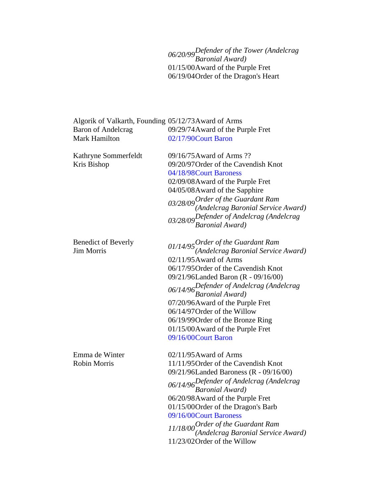*06/20/99Defender of the Tower (Andelcrag Baronial Award)* 01/15/00Award of the Purple Fret 06/19/04Order of the Dragon's Heart

| Algorik of Valkarth, Founding 05/12/73 Award of Arms |                                                                                 |
|------------------------------------------------------|---------------------------------------------------------------------------------|
| <b>Baron of Andelcrag</b>                            | 09/29/74 Award of the Purple Fret                                               |
| Mark Hamilton                                        | 02/17/90Court Baron                                                             |
| Kathryne Sommerfeldt                                 | 09/16/75 Award of Arms ??                                                       |
| Kris Bishop                                          | 09/20/97 Order of the Cavendish Knot                                            |
|                                                      | 04/18/98 Court Baroness                                                         |
|                                                      | 02/09/08 Award of the Purple Fret                                               |
|                                                      | 04/05/08 Award of the Sapphire                                                  |
|                                                      |                                                                                 |
|                                                      | 03/28/09 Order of the Guardant Ram<br>(Andelcrag Baronial Service Award)        |
|                                                      |                                                                                 |
|                                                      | Ornacities Line<br>03/28/09 Defender of Andelcrag (Andelcrag<br>Baronial Award) |
| <b>Benedict of Beverly</b>                           |                                                                                 |
| <b>Jim Morris</b>                                    | $01/14/95$ Order of the Guardant Ram<br>(Andelcrag Baronial Service Award)      |
|                                                      | $02/11/95$ Award of Arms                                                        |
|                                                      | 06/17/95 Order of the Cavendish Knot                                            |
|                                                      | 09/21/96Landed Baron (R - 09/16/00)                                             |
|                                                      | 06/14/96 Defender of Andelcrag (Andelcrag<br>Baronial Award)                    |
|                                                      | 07/20/96 Award of the Purple Fret                                               |
|                                                      | 06/14/97 Order of the Willow                                                    |
|                                                      | 06/19/99 Order of the Bronze Ring                                               |
|                                                      | 01/15/00Award of the Purple Fret                                                |
|                                                      | 09/16/00Court Baron                                                             |
| Emma de Winter                                       | $02/11/95$ Award of Arms                                                        |
| <b>Robin Morris</b>                                  | 11/11/95 Order of the Cavendish Knot                                            |
|                                                      | 09/21/96Landed Baroness (R - 09/16/00)                                          |
|                                                      | 06/14/96 Defender of Andelcrag (Andelcrag<br>Baronial Award)                    |
|                                                      | 06/20/98 Award of the Purple Fret                                               |
|                                                      | 01/15/00 Order of the Dragon's Barb                                             |
|                                                      | 09/16/00Court Baroness                                                          |
|                                                      | 11/18/00 Order of the Guardant Ram                                              |
|                                                      | (Andelcrag Baronial Service Award)                                              |
|                                                      | 11/23/02 Order of the Willow                                                    |
|                                                      |                                                                                 |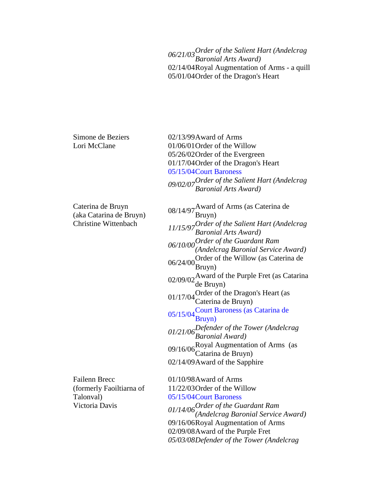*06/21/03Order of the Salient Hart (Andelcrag Baronial Arts Award)* 02/14/04Royal Augmentation of Arms - a quill 05/01/04Order of the Dragon's Heart

Simone de Beziers Lori McClane

Caterina de Bruyn (aka Catarina de Bruyn) Christine Wittenbach

Failenn Brecc (formerly Faoiltiarna of Talonval) Victoria Davis

02/13/99Award of Arms 01/06/01Order of the Willow 05/26/02Order of the Evergreen 01/17/04Order of the Dragon's Heart 05/15/04Court Baroness *09/02/07Order of the Salient Hart (Andelcrag Baronial Arts Award)*

08/14/97 Award of Arms (as Caterina de Bruyn) *11/15/97Order of the Salient Hart (Andelcrag Baronial Arts Award) 06/10/00Order of the Guardant Ram (Andelcrag Baronial Service Award)*  $06/24/00$ Order of the Willow (as Caterina de Bruyn) 02/09/02 Award of the Purple Fret (as Catarina de Bruyn) 01/17/04 Order of the Dragon's Heart (as Caterina de Bruyn) 05/15/04 Court Baroness (as Catarina de Bruyn) *01/21/06Defender of the Tower (Andelcrag Baronial Award)* 09/16/06 Royal Augmentation of Arms (as O9/16/06 Catarina de Bruyn) 02/14/09Award of the Sapphire

01/10/98Award of Arms 11/22/03Order of the Willow 05/15/04Court Baroness *01/14/06Order of the Guardant Ram (Andelcrag Baronial Service Award)* 09/16/06Royal Augmentation of Arms 02/09/08Award of the Purple Fret *05/03/08Defender of the Tower (Andelcrag*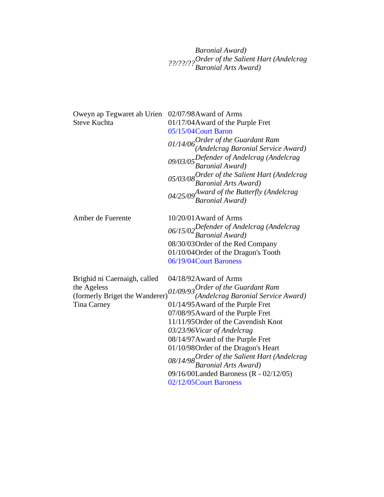*Baronial Award) ??/??/??Order of the Salient Hart (Andelcrag Baronial Arts Award)*

| Oweyn ap Tegwaret ab Urien<br><b>Steve Kuchta</b>                                            | 02/07/98 Award of Arms<br>01/17/04 Award of the Purple Fret<br>05/15/04 Court Baron<br>$01/14/06$ Order of the Guardant Ram<br>(Andelcrag Baronial Service Award)<br>09/03/05 $Defender$ of Andelcrag (Andelcrag<br><b>Baronial Award</b> )<br>05/03/08 Order of the Salient Hart (Andelcrag<br>Baronial Arts Award)<br>$04/25/09$ Award of the Butterfly (Andelcrag<br><b>Baronial Award</b> )                                                                                          |
|----------------------------------------------------------------------------------------------|------------------------------------------------------------------------------------------------------------------------------------------------------------------------------------------------------------------------------------------------------------------------------------------------------------------------------------------------------------------------------------------------------------------------------------------------------------------------------------------|
| Amber de Fuerente                                                                            | 10/20/01 Award of Arms<br>06/15/02 Defender of Andelcrag (Andelcrag<br>Baronial Award)<br>08/30/03 Order of the Red Company<br>01/10/04 Order of the Dragon's Tooth<br>06/19/04 Court Baroness                                                                                                                                                                                                                                                                                           |
| Brighid ni Caernaigh, called<br>the Ageless<br>(formerly Briget the Wanderer)<br>Tina Carney | 04/18/92 Award of Arms<br>$\frac{01}{09/93}$ Order of the Guardant Ram<br>(Andelcrag Baronial Service Award)<br>01/14/95 Award of the Purple Fret<br>07/08/95 Award of the Purple Fret<br>11/11/95 Order of the Cavendish Knot<br>03/23/96 Vicar of Andelcrag<br>08/14/97 Award of the Purple Fret<br>01/10/98 Order of the Dragon's Heart<br>08/14/98 Order of the Salient Hart (Andelcrag<br>Baronial Arts Award)<br>09/16/00Landed Baroness (R - 02/12/05)<br>02/12/05 Court Baroness |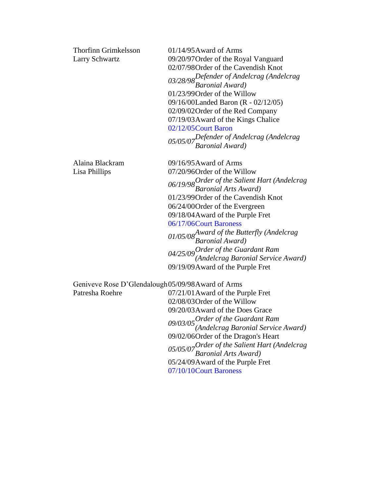| <b>Thorfinn Grimkelsson</b><br>Larry Schwartz                       | $01/14/95$ Award of Arms<br>09/20/97 Order of the Royal Vanguard<br>02/07/98 Order of the Cavendish Knot<br>03/28/98 Defender of Andelcrag (Andelcrag<br>Baronial Award)<br>01/23/99 Order of the Willow<br>09/16/00Landed Baron (R - 02/12/05)<br>02/09/02 Order of the Red Company<br>07/19/03 Award of the Kings Chalice<br>02/12/05 Court Baron<br>05/05/07Defender of Andelcrag (Andelcrag<br>Baronial Award)                                                      |
|---------------------------------------------------------------------|-------------------------------------------------------------------------------------------------------------------------------------------------------------------------------------------------------------------------------------------------------------------------------------------------------------------------------------------------------------------------------------------------------------------------------------------------------------------------|
| Alaina Blackram<br>Lisa Phillips                                    | 09/16/95 Award of Arms<br>07/20/96Order of the Willow<br>06/19/98 Order of the Salient Hart (Andelcrag<br>Baronial Arts Award)<br>01/23/99 Order of the Cavendish Knot<br>06/24/00 Order of the Evergreen<br>09/18/04 Award of the Purple Fret<br>06/17/06Court Baroness<br>01/05/08 <sup>Award</sup> of the Butterfly (Andelcrag<br>Baronial Award)<br>$04/25/09$ Order of the Guardant Ram<br>(Andelcrag Baronial Service Award)<br>09/19/09 Award of the Purple Fret |
| Geniveve Rose D'Glendalough05/09/98Award of Arms<br>Patresha Roehre | 07/21/01 Award of the Purple Fret                                                                                                                                                                                                                                                                                                                                                                                                                                       |
|                                                                     |                                                                                                                                                                                                                                                                                                                                                                                                                                                                         |

02/08/03Order of the Willow 09/20/03Award of the Does Grace *09/03/05Order of the Guardant Ram (Andelcrag Baronial Service Award)* 09/02/06Order of the Dragon's Heart *05/05/07Order of the Salient Hart (Andelcrag Baronial Arts Award)* 05/24/09Award of the Purple Fret 07/10/10Court Baroness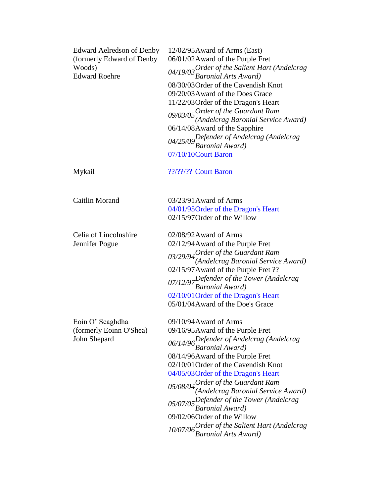| <b>Edward Aelredson of Denby</b><br>(formerly Edward of Denby<br>Woods)<br><b>Edward Roehre</b> | 12/02/95 Award of Arms (East)<br>06/01/02 Award of the Purple Fret<br>04/19/03 Order of the Salient Hart (Andelcrag<br>Baronial Arts Award)<br>08/30/03 Order of the Cavendish Knot<br>09/20/03 Award of the Does Grace<br>11/22/03 Order of the Dragon's Heart<br>$09/03/05$ Order of the Guardant Ram<br>(Andelcrag Baronial Service Award)<br>06/14/08Award of the Sapphire<br>04/25/09 Defender of Andelcrag (Andelcrag<br>Baronial Award)<br>07/10/10Court Baron                                       |
|-------------------------------------------------------------------------------------------------|-------------------------------------------------------------------------------------------------------------------------------------------------------------------------------------------------------------------------------------------------------------------------------------------------------------------------------------------------------------------------------------------------------------------------------------------------------------------------------------------------------------|
| Mykail                                                                                          | ??/??/?? Court Baron                                                                                                                                                                                                                                                                                                                                                                                                                                                                                        |
| <b>Caitlin Morand</b>                                                                           | 03/23/91 Award of Arms<br>04/01/95 Order of the Dragon's Heart<br>02/15/97 Order of the Willow                                                                                                                                                                                                                                                                                                                                                                                                              |
| Celia of Lincolnshire<br>Jennifer Pogue                                                         | 02/08/92 Award of Arms<br>02/12/94 Award of the Purple Fret<br>03/29/94 Order of the Guardant Ram<br>(Andelcrag Baronial Service Award)<br>02/15/97 Award of the Purple Fret ??<br>07/12/97 Defender of the Tower (Andelcragnon)<br>02/10/01 Order of the Dragon's Heart<br>05/01/04 Award of the Doe's Grace                                                                                                                                                                                               |
| Eoin O' Seaghdha<br>(formerly Eoinn O'Shea)<br>John Shepard                                     | 09/10/94 Award of Arms<br>09/16/95 Award of the Purple Fret<br>06/14/96 Defender of Andelcrag (Andelcrag<br>Baronial Award)<br>08/14/96 Award of the Purple Fret<br>02/10/01 Order of the Cavendish Knot<br>04/05/03 Order of the Dragon's Heart<br>05/08/04 Order of the Guardant Ram<br>(Andelcrag Baronial Service Award)<br>05/07/05Defender of the Tower (Andelcrag<br>Baronial Award)<br>09/02/06Order of the Willow<br>10/07/06 Order of the Salient Hart (Andelcrag<br><b>Baronial Arts Award</b> ) |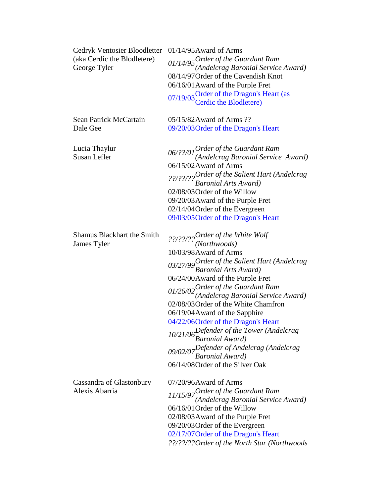| Cedryk Ventosier Bloodletter<br>(aka Cerdic the Blodletere)<br>George Tyler | $01/14/95$ Award of Arms<br>$01/14/95$ Order of the Guardant Ram<br>(Andelcrag Baronial Service Award)<br>08/14/97 Order of the Cavendish Knot<br>06/16/01 Award of the Purple Fret<br>07/19/03 Order of the Dragon's Heart (as<br>Cerdic the Blodletere)                                                                                                                                                                                                                                                                                                            |
|-----------------------------------------------------------------------------|----------------------------------------------------------------------------------------------------------------------------------------------------------------------------------------------------------------------------------------------------------------------------------------------------------------------------------------------------------------------------------------------------------------------------------------------------------------------------------------------------------------------------------------------------------------------|
| Sean Patrick McCartain<br>Dale Gee                                          | 05/15/82 Award of Arms ??<br>09/20/03 Order of the Dragon's Heart                                                                                                                                                                                                                                                                                                                                                                                                                                                                                                    |
| Lucia Thaylur<br>Susan Lefler                                               | $06$ /??/01 $0$ rder of the Guardant Ram<br>(Andelcrag Baronial Service Award)<br>06/15/02 Award of Arms<br>??/??/??Order of the Salient Hart (Andelcrag<br>Baronial Arts Award)<br>02/08/03 Order of the Willow<br>09/20/03 Award of the Purple Fret<br>02/14/04 Order of the Evergreen<br>09/03/05 Order of the Dragon's Heart                                                                                                                                                                                                                                     |
| <b>Shamus Blackhart the Smith</b><br>James Tyler                            | ??/??/?? <sup>Order</sup> of the White Wolf<br>(Northwoods)<br>10/03/98 Award of Arms<br>03/27/99 Order of the Salient Hart (Andelcrag<br>Baronial Arts Award)<br>06/24/00Award of the Purple Fret<br>$01/26/02$ Order of the Guardant Ram<br>(Andelcrag Baronial Service Award)<br>02/08/03 Order of the White Chamfron<br>06/19/04 Award of the Sapphire<br>04/22/06Order of the Dragon's Heart<br>10/21/06 Defender of the Tower (Andelcrag<br>Baronial Award)<br>09/02/07Defender of Andelcrag (Andelcrag<br>Baronial Award)<br>06/14/08 Order of the Silver Oak |
| Cassandra of Glastonbury<br>Alexis Abarria                                  | 07/20/96Award of Arms<br>11/15/97 Order of the Guardant Ram<br>(Andelcrag Baronial Service Award)<br>06/16/01 Order of the Willow<br>02/08/03 Award of the Purple Fret<br>09/20/03 Order of the Evergreen<br>02/17/07 Order of the Dragon's Heart<br>??/??/??Order of the North Star (Northwoods                                                                                                                                                                                                                                                                     |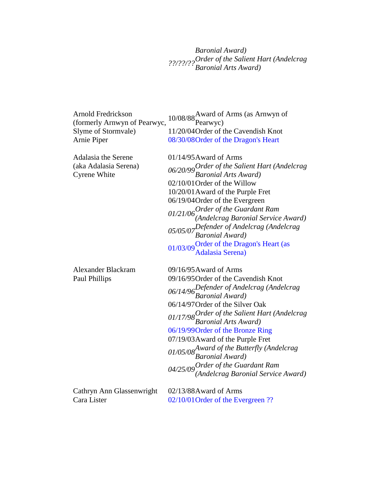*Baronial Award) ??/??/??Order of the Salient Hart (Andelcrag Baronial Arts Award)*

| Arnold Fredrickson<br>(formerly Arnwyn of Pearwyc, | 10/08/88 Award of Arms (as Arnwyn of Pearwyc)                              |
|----------------------------------------------------|----------------------------------------------------------------------------|
| Slyme of Stormvale)                                | 11/20/04 Order of the Cavendish Knot                                       |
| Arnie Piper                                        | 08/30/08 Order of the Dragon's Heart                                       |
| Adalasia the Serene                                | $01/14/95$ Award of Arms                                                   |
| (aka Adalasia Serena)<br><b>Cyrene White</b>       | 06/20/99 Order of the Salient Hart (Andelcrag<br>Baronial Arts Award)      |
|                                                    | 02/10/01 Order of the Willow                                               |
|                                                    | 10/20/01 Award of the Purple Fret                                          |
|                                                    | 06/19/04 Order of the Evergreen                                            |
|                                                    | $01/21/06$ Order of the Guardant Ram<br>(Andelcrag Baronial Service Award) |
|                                                    | 05/05/07Defender of Andelcrag (Andelcrag<br>Baronial Award)                |
|                                                    | 01/03/09 Order of the Dragon's Heart (as<br>Adalasia Serena)               |
| <b>Alexander Blackram</b>                          | 09/16/95 Award of Arms                                                     |
| Paul Phillips                                      | 09/16/95 Order of the Cavendish Knot                                       |
|                                                    | 06/14/96 Defender of Andelcrag (Andelcrag<br>Baronial Award)               |
|                                                    | 06/14/97 Order of the Silver Oak                                           |
|                                                    | 01/17/98 Order of the Salient Hart (Andelcrag<br>Baronial Arts Award)      |
|                                                    | 06/19/99 Order of the Bronze Ring                                          |
|                                                    | 07/19/03 Award of the Purple Fret                                          |
|                                                    | 01/05/08 Award of the Butterfly (Andelcrag b)<br>Baronial Award)           |
|                                                    | $04/25/09$ Order of the Guardant Ram<br>(Andelcrag Baronial Service Award) |
| Cathryn Ann Glassenwright                          | 02/13/88Award of Arms                                                      |
| Cara Lister                                        | 02/10/01 Order of the Evergreen ??                                         |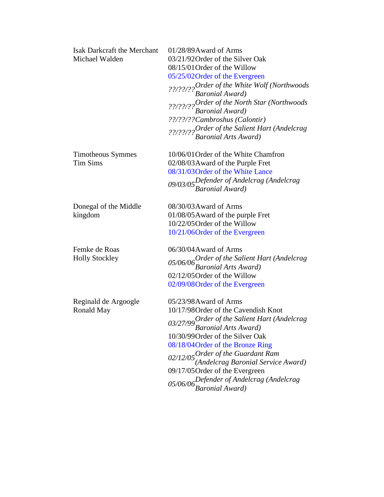| <b>Isak Darkcraft the Merchant</b> | 01/28/89Award of Arms                                                            |
|------------------------------------|----------------------------------------------------------------------------------|
| Michael Walden                     | 03/21/92 Order of the Silver Oak                                                 |
|                                    | 08/15/01 Order of the Willow                                                     |
|                                    | 05/25/02 Order of the Evergreen                                                  |
|                                    | ??/??/???Drder of the White Wolf (Northwoods<br>Baronial Award)                  |
|                                    |                                                                                  |
|                                    | ??/??/?? Order of the North Star (Northwoods<br>Baronial Award)                  |
|                                    |                                                                                  |
|                                    | ??/??/??Cambroshus (Calontir)                                                    |
|                                    | ??/??/?? <sup>Order</sup> of the Salient Hart (Andelcrag<br>Baronial Arts Award) |
|                                    |                                                                                  |
| <b>Timotheous Symmes</b>           | 10/06/01 Order of the White Chamfron                                             |
| <b>Tim Sims</b>                    | 02/08/03 Award of the Purple Fret                                                |
|                                    | 08/31/03 Order of the White Lance                                                |
|                                    |                                                                                  |
|                                    | 09/03/05Defender of Andelcrag (Andelcrag<br>Baronial Award)                      |
| Donegal of the Middle              | 08/30/03 Award of Arms                                                           |
| kingdom                            | 01/08/05 Award of the purple Fret                                                |
|                                    | 10/22/05 Order of the Willow                                                     |
|                                    | 10/21/06Order of the Evergreen                                                   |
|                                    |                                                                                  |
| Femke de Roas                      | 06/30/04 Award of Arms                                                           |
| <b>Holly Stockley</b>              | 05/06/06 Order of the Salient Hart (Andelcrag<br>Baronial Arts Award)            |
|                                    |                                                                                  |
|                                    | 02/12/05 Order of the Willow                                                     |
|                                    | 02/09/08 Order of the Evergreen                                                  |
| Reginald de Argoogle               | 05/23/98Award of Arms                                                            |
| <b>Ronald May</b>                  | 10/17/98 Order of the Cavendish Knot                                             |
|                                    |                                                                                  |
|                                    | 03/27/99 Order of the Salient Hart (Andelcrag<br>Baronial Arts Award)            |
|                                    | 10/30/99 Order of the Silver Oak                                                 |
|                                    | 08/18/04 Order of the Bronze Ring                                                |
|                                    |                                                                                  |
|                                    | $02/12/05$ Order of the Guardant Ram<br>(Andelcrag Baronial Service Award)       |
|                                    | 09/17/05 Order of the Evergreen                                                  |
|                                    | 05/06/06 Defender of Andelcrag (Andelcrag<br>Baronial Award)                     |
|                                    |                                                                                  |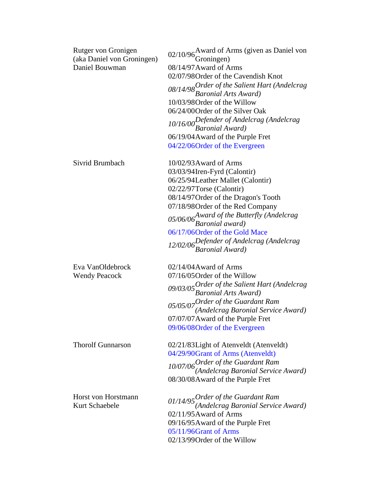| Rutger von Gronigen        | 02/10/96 $\rm{A}$ ward of Arms (given as Daniel von                        |
|----------------------------|----------------------------------------------------------------------------|
| (aka Daniel von Groningen) | Groningen)                                                                 |
| Daniel Bouwman             | 08/14/97 Award of Arms                                                     |
|                            | 02/07/98 Order of the Cavendish Knot                                       |
|                            | 08/14/98 Order of the Salient Hart (Andelcrag<br>Baronial Arts Award)      |
|                            |                                                                            |
|                            | 10/03/98 Order of the Willow                                               |
|                            | 06/24/00 Order of the Silver Oak                                           |
|                            | 10/16/00 Defender of Andelcrag (Andelcrag<br>Baronial Award)               |
|                            |                                                                            |
|                            | 06/19/04 Award of the Purple Fret                                          |
|                            | 04/22/06Order of the Evergreen                                             |
| Sivrid Brumbach            | 10/02/93 Award of Arms                                                     |
|                            | 03/03/94Iren-Fyrd (Calontir)                                               |
|                            | 06/25/94Leather Mallet (Calontir)                                          |
|                            | 02/22/97Torse (Calontir)                                                   |
|                            | 08/14/97 Order of the Dragon's Tooth                                       |
|                            | 07/18/98 Order of the Red Company                                          |
|                            | 05/06/06 <sup>Award</sup> of the Butterfly (Andelcrag<br>Baronial award)   |
|                            |                                                                            |
|                            | 06/17/06Order of the Gold Mace                                             |
|                            | 12/02/06 Defender of Andelcrag (Andelcrag<br>Baronial Award)               |
| Eva VanOldebrock           | 02/14/04 Award of Arms                                                     |
| <b>Wendy Peacock</b>       | 07/16/05 Order of the Willow                                               |
|                            |                                                                            |
|                            | 09/03/05 Order of the Salient Hart (Andelcrag<br>Baronial Arts Award)      |
|                            | 05/05/07 Order of the Guardant Ram<br>(Andelcrag Baronial Service Award)   |
|                            |                                                                            |
|                            | 07/07/07 Award of the Purple Fret                                          |
|                            | 09/06/08 Order of the Evergreen                                            |
| <b>Thorolf Gunnarson</b>   | 02/21/83Light of Atenveldt (Atenveldt)                                     |
|                            | 04/29/90Grant of Arms (Atenveldt)                                          |
|                            |                                                                            |
|                            | 10/07/06 Order of the Guardant Ram<br>(Andelcrag Baronial Service Award)   |
|                            | 08/30/08Award of the Purple Fret                                           |
| Horst von Horstmann        | $01/14/95$ Order of the Guardant Ram<br>(Andelcrag Baronial Service Award) |
| Kurt Schaebele             |                                                                            |
|                            | 02/11/95 Award of Arms                                                     |
|                            | 09/16/95 Award of the Purple Fret                                          |
|                            | 05/11/96Grant of Arms                                                      |
|                            | 02/13/99 Order of the Willow                                               |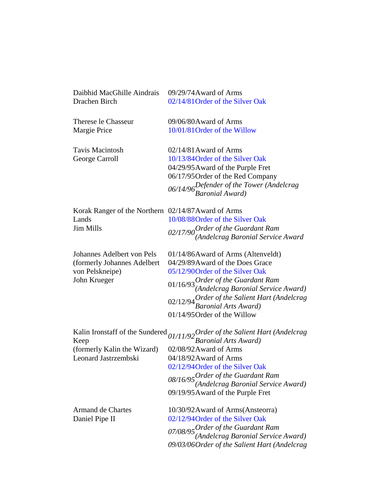| Daibhid MacGhille Aindrais                          | 09/29/74 Award of Arms                                                              |
|-----------------------------------------------------|-------------------------------------------------------------------------------------|
| Drachen Birch                                       | 02/14/81 Order of the Silver Oak                                                    |
| Therese le Chasseur                                 | 09/06/80Award of Arms                                                               |
| Margie Price                                        | 10/01/81 Order of the Willow                                                        |
| <b>Tavis Macintosh</b>                              | $02/14/81$ Award of Arms                                                            |
| George Carroll                                      | 10/13/84 Order of the Silver Oak                                                    |
|                                                     | 04/29/95 Award of the Purple Fret                                                   |
|                                                     | 06/17/95 Order of the Red Company                                                   |
|                                                     | 06/14/96 Defender of the Tower (Andelcrag<br>Baronial Award)                        |
|                                                     |                                                                                     |
| Korak Ranger of the Northern 02/14/87 Award of Arms |                                                                                     |
| Lands                                               | 10/08/88 Order of the Silver Oak                                                    |
| <b>Jim Mills</b>                                    | 02/17/90 <sup>Order</sup> of the Guardant Ram<br>(Andelcrag Baronial Service Award) |
|                                                     |                                                                                     |
| Johannes Adelbert von Pels                          | 01/14/86Award of Arms (Altenveldt)                                                  |
| (formerly Johannes Adelbert                         | 04/29/89 Award of the Does Grace                                                    |
| von Pelskneipe)                                     | 05/12/90 Order of the Silver Oak                                                    |
| John Krueger                                        | $01/16/93$ Order of the Guardant Ram<br>(Andelcrag Baronial Service Award)          |
|                                                     |                                                                                     |
|                                                     | 02/12/94 Order of the Salient Hart (Andelcrag<br>Baronial Arts Award)               |
|                                                     |                                                                                     |
|                                                     | 01/14/95 Order of the Willow                                                        |
| Kalin Ironstaff of the Sundered                     | 01/11/92 Order of the Salient Hart (Andelcrag<br>Baronial Arts Award)               |
| Keep                                                | 02/08/92 Award of Arms                                                              |
| (formerly Kalin the Wizard)<br>Leonard Jastrzembski | 04/18/92 Award of Arms                                                              |
|                                                     | 02/12/94 Order of the Silver Oak                                                    |
|                                                     |                                                                                     |
|                                                     | $08/16/95$ Order of the Guardant Ram<br>(Andelcrag Baronial Service Award)          |
|                                                     | 09/19/95 Award of the Purple Fret                                                   |
| <b>Armand de Chartes</b>                            | 10/30/92 Award of Arms (Ansteorra)                                                  |
| Daniel Pipe II                                      | 02/12/94 Order of the Silver Oak                                                    |
|                                                     |                                                                                     |
|                                                     | 07/08/95 Order of the Guardant Ram<br>(Andelcrag Baronial Service Award)            |
|                                                     | 09/03/06 Order of the Salient Hart (Andelcrag                                       |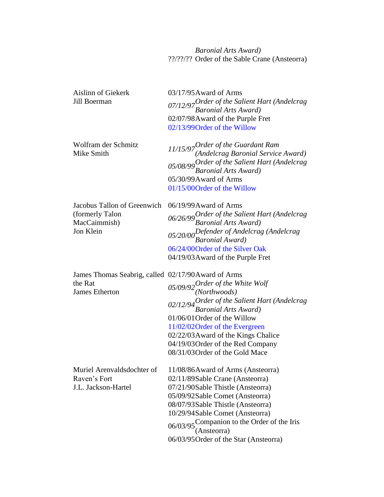*Baronial Arts Award)* ??/??/?? Order of the Sable Crane (Ansteorra)

| Aislinn of Giekerk<br>Jill Boerman                                                      | 03/17/95 Award of Arms<br>07/12/97 Order of the Salient Hart (Andelcrag<br>Baronial Arts Award)<br>02/07/98Award of the Purple Fret<br>02/13/99 Order of the Willow                                                                                                                                                                                     |
|-----------------------------------------------------------------------------------------|---------------------------------------------------------------------------------------------------------------------------------------------------------------------------------------------------------------------------------------------------------------------------------------------------------------------------------------------------------|
| Wolfram der Schmitz<br>Mike Smith                                                       | $11/15/97$ Order of the Guardant Ram<br>(Andelcrag Baronial Service Award)<br>$05/08/99$ Order of the Salient Hart (Andelcrag<br>Baronial Arts Award)<br>05/30/99 Award of Arms<br>01/15/00Order of the Willow                                                                                                                                          |
| Jacobus Tallon of Greenwich<br>(formerly Talon<br>MacCaimmish)<br>Jon Klein             | 06/19/99 Award of Arms<br>06/26/99 Order of the Salient Hart (Andelcrag<br>Baronial Arts Award)<br>05/20/00 Defender of Andelcrag (Andelcrag<br>Baronial Award)<br>06/24/00 Order of the Silver Oak<br>04/19/03 Award of the Purple Fret                                                                                                                |
| James Thomas Seabrig, called 02/17/90 Award of Arms<br>the Rat<br><b>James Etherton</b> | 05/09/92 Order of the White Wolf<br>(Northwoods)<br>02/12/94 Order of the Salient Hart (Andelcrag<br>Baronial Arts Award)<br>01/06/01 Order of the Willow<br>11/02/02 Order of the Evergreen<br>02/22/03 Award of the Kings Chalice<br>04/19/03 Order of the Red Company<br>08/31/03 Order of the Gold Mace                                             |
| Raven's Fort<br>J.L. Jackson-Hartel                                                     | Muriel Arenvaldsdochter of 11/08/86Award of Arms (Ansteorra)<br>02/11/89Sable Crane (Ansteorra)<br>07/21/90Sable Thistle (Ansteorra)<br>05/09/92Sable Comet (Ansteorra)<br>08/07/93Sable Thistle (Ansteorra)<br>10/29/94Sable Comet (Ansteorra)<br>06/03/95 Companion to the Order of the Iris<br>(Ansteorra)<br>06/03/95 Order of the Star (Ansteorra) |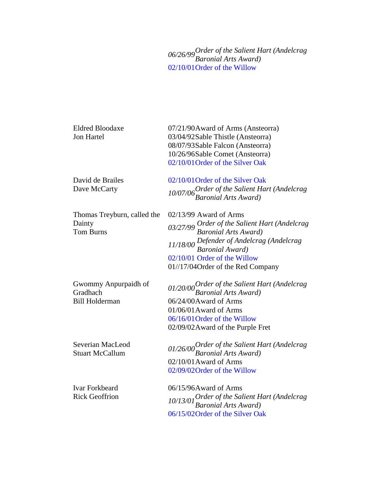*06/26/99Order of the Salient Hart (Andelcrag Baronial Arts Award)* 02/10/01Order of the Willow

| <b>Eldred Bloodaxe</b><br><b>Jon Hartel</b>               | 07/21/90 Award of Arms (Ansteorra)<br>03/04/92Sable Thistle (Ansteorra)<br>08/07/93Sable Falcon (Ansteorra)<br>10/26/96Sable Comet (Ansteorra)<br>02/10/01 Order of the Silver Oak                                                                            |
|-----------------------------------------------------------|---------------------------------------------------------------------------------------------------------------------------------------------------------------------------------------------------------------------------------------------------------------|
| David de Brailes<br>Dave McCarty                          | 02/10/01 Order of the Silver Oak<br>10/07/06 Order of the Salient Hart (Andelcrag<br>Baronial Arts Award)                                                                                                                                                     |
| Thomas Treyburn, called the<br>Dainty<br><b>Tom Burns</b> | $02/13/99$ Award of Arms<br>03/27/99 Order of the Salient Hart (Andelcrag<br>Baronial Arts Award)<br>Baronia Arts Amara,<br>11/18/00 Defender of Andelcrag (Andelcrag<br>Baronial Award)<br>02/10/01 Order of the Willow<br>01//17/04Order of the Red Company |
| Gwommy Anpurpaidh of<br>Gradhach<br><b>Bill Holderman</b> | 01/20/00 Order of the Salient Hart (Andelcrag<br>Baronial Arts Award)<br>06/24/00 Award of Arms<br>$01/06/01$ Award of Arms<br>06/16/01 Order of the Willow<br>02/09/02 Award of the Purple Fret                                                              |
| Severian MacLeod<br><b>Stuart McCallum</b>                | 01/26/00 Order of the Salient Hart (Andelcrag<br>Baronial Arts Award)<br>$02/10/01$ Award of Arms<br>02/09/02 Order of the Willow                                                                                                                             |
| <b>Ivar Forkbeard</b><br><b>Rick Geoffrion</b>            | 06/15/96Award of Arms<br>10/13/01 Order of the Salient Hart (Andelcrag<br>Baronial Arts Award)<br>06/15/02 Order of the Silver Oak                                                                                                                            |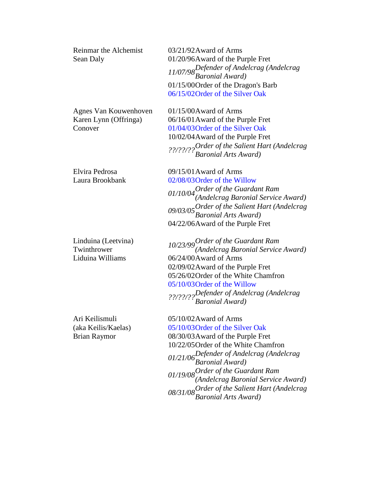| Reinmar the Alchemist<br>Sean Daly                           | 03/21/92 Award of Arms<br>01/20/96Award of the Purple Fret<br>11/07/98 Defender of Andelcrag (Andelcrag<br>Baronial Award)<br>01/15/00 Order of the Dragon's Barb<br>06/15/02 Order of the Silver Oak                                                                                                                      |
|--------------------------------------------------------------|----------------------------------------------------------------------------------------------------------------------------------------------------------------------------------------------------------------------------------------------------------------------------------------------------------------------------|
| Agnes Van Kouwenhoven<br>Karen Lynn (Offringa)<br>Conover    | 01/15/00Award of Arms<br>06/16/01 Award of the Purple Fret<br>01/04/03 Order of the Silver Oak<br>10/02/04 Award of the Purple Fret<br>??/??/?? <sup>Order</sup> of the Salient Hart (Andelcrag<br>Baronial Arts Award)                                                                                                    |
| Elvira Pedrosa<br>Laura Brookbank                            | $09/15/01$ Award of Arms<br>02/08/03 Order of the Willow<br>$01/10/04$ Order of the Guardant Ram<br>(Andelcrag Baronial Service Award)<br>09/03/05 Order of the Salient Hart (Andelcrag<br>Baronial Arts Award)<br>04/22/06Award of the Purple Fret                                                                        |
| Linduina (Leetvina)<br>Twinthrower<br>Liduina Williams       | 10/23/99 Order of the Guardant Ram<br>(Andelcrag Baronial Service Award)<br>06/24/00Award of Arms<br>02/09/02 Award of the Purple Fret<br>05/26/02 Order of the White Chamfron<br>05/10/03 Order of the Willow<br>??/??/??Defender of Andelcrag (Andelcrag)<br>Baronial Award)                                             |
| Ari Keilismuli<br>(aka Keilis/Kaelas)<br><b>Brian Raymor</b> | 05/10/02 Award of Arms<br>05/10/03 Order of the Silver Oak<br>08/30/03 Award of the Purple Fret<br>10/22/05 Order of the White Chamfron<br>01/21/06 Defender of Andelcrag (Andelcrag<br>Baronial Award)<br>01/19/08<br>Order of the Guardant Ram<br>(Andelcrag Baronial Service Award)<br>08/31/08<br>Baronial Arts Award) |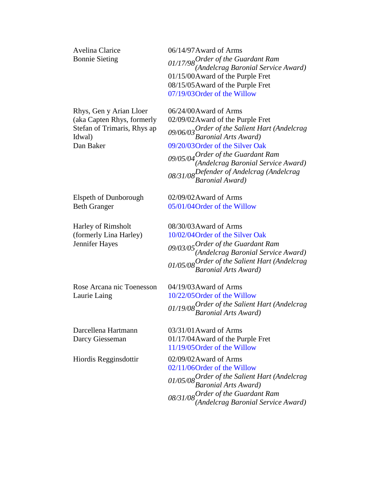Avelina Clarice Bonnie Sieting

Rhys, Gen y Arian Lloer (aka Capten Rhys, formerly Stefan of Trimaris, Rhys ap Idwal) Dan Baker

06/14/97Award of Arms *01/17/98Order of the Guardant Ram (Andelcrag Baronial Service Award)* 01/15/00Award of the Purple Fret 08/15/05Award of the Purple Fret 07/19/03Order of the Willow

06/24/00Award of Arms 02/09/02Award of the Purple Fret *09/06/03Order of the Salient Hart (Andelcrag Baronial Arts Award)* 09/20/03Order of the Silver Oak *09/05/04Order of the Guardant Ram (Andelcrag Baronial Service Award) 08/31/08Defender of Andelcrag (Andelcrag Baronial Award)*

Elspeth of Dunborough Beth Granger

Harley of Rimsholt (formerly Lina Harley) Jennifer Hayes

Rose Arcana nic Toenesson Laurie Laing

Darcellena Hartmann Darcy Giesseman

08/30/03Award of Arms 10/02/04Order of the Silver Oak

02/09/02Award of Arms 05/01/04Order of the Willow

*09/03/05Order of the Guardant Ram (Andelcrag Baronial Service Award) 01/05/08Order of the Salient Hart (Andelcrag Baronial Arts Award)*

04/19/03Award of Arms 10/22/05Order of the Willow *01/19/08Order of the Salient Hart (Andelcrag Baronial Arts Award)*

03/31/01Award of Arms 01/17/04Award of the Purple Fret 11/19/05Order of the Willow

Hiordis Regginsdottir 02/09/02Award of Arms 02/11/06Order of the Willow *01/05/08Order of the Salient Hart (Andelcrag Baronial Arts Award) 08/31/08Order of the Guardant Ram (Andelcrag Baronial Service Award)*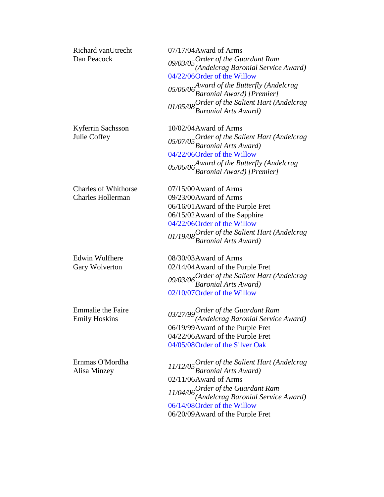| Richard vanUtrecht<br>Dan Peacock                       | 07/17/04 Award of Arms<br>09/03/05 Order of the Guardant Ram<br>(Andelcrag Baronial Service Award)<br>04/22/06Order of the Willow<br>05/06/06 <sup>Award</sup> of the Butterfly (Andelcrag<br>Baronial Award) [Premier]<br>01/05/08 Order of the Salient Hart (Andelcrag<br>Baronial Arts Award) |
|---------------------------------------------------------|--------------------------------------------------------------------------------------------------------------------------------------------------------------------------------------------------------------------------------------------------------------------------------------------------|
| Kyferrin Sachsson<br>Julie Coffey                       | 10/02/04 Award of Arms<br>05/07/05 Order of the Salient Hart (Andelcrag<br>Baronial Arts Award)<br>04/22/06Order of the Willow<br>05/06/06 <sup>Award</sup> of the Butterfly (Andelcrag<br>Baronial Award) [Premier]                                                                             |
| <b>Charles of Whithorse</b><br><b>Charles Hollerman</b> | 07/15/00Award of Arms<br>09/23/00Award of Arms<br>06/16/01 Award of the Purple Fret<br>06/15/02 Award of the Sapphire<br>04/22/06Order of the Willow<br>01/19/08 Order of the Salient Hart (Andelcrag<br>Baronial Arts Award)                                                                    |
| Edwin Wulfhere<br>Gary Wolverton                        | 08/30/03 Award of Arms<br>02/14/04 Award of the Purple Fret<br>09/03/06 Order of the Salient Hart (Andelcrag<br>Baronial Arts Award)<br>02/10/07 Order of the Willow                                                                                                                             |
| <b>Emmalie</b> the Faire<br><b>Emily Hoskins</b>        | 03/27/99 Order of the Guardant Ram<br>(Andelcrag Baronial Service Award)<br>06/19/99 Award of the Purple Fret<br>04/22/06Award of the Purple Fret<br>04/05/08 Order of the Silver Oak                                                                                                            |
| Ernmas O'Mordha<br>Alisa Minzey                         | 11/12/05 Order of the Salient Hart (Andelcrag<br>Baronial Arts Award)<br>02/11/06Award of Arms<br>$11/04/06$ Order of the Guardant Ram<br>(Andelcrag Baronial Service Award)<br>06/14/08 Order of the Willow<br>06/20/09 Award of the Purple Fret                                                |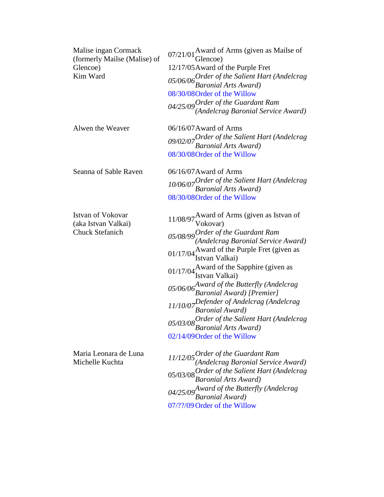| Malise ingan Cormack<br>(formerly Mailse (Malise) of<br>Glencoe)<br>Kim Ward | 07/21/01 Award of Arms (given as Mailse of<br>Glencoe)<br>12/17/05 Award of the Purple Fret<br>05/06/06 Order of the Salient Hart (Andelcrag<br>Baronial Arts Award)<br>08/30/08 Order of the Willow<br>$04/25/09$ Order of the Guardant Ram<br>(Andelcrag Baronial Service Award)                                                                                                                                                                                                                                                               |
|------------------------------------------------------------------------------|--------------------------------------------------------------------------------------------------------------------------------------------------------------------------------------------------------------------------------------------------------------------------------------------------------------------------------------------------------------------------------------------------------------------------------------------------------------------------------------------------------------------------------------------------|
| Alwen the Weaver                                                             | 06/16/07 Award of Arms<br>09/02/07 Order of the Salient Hart (Andelcrag<br>Baronial Arts Award)<br>08/30/08 Order of the Willow                                                                                                                                                                                                                                                                                                                                                                                                                  |
| Seanna of Sable Raven                                                        | $06/16/07$ Award of Arms<br>10/06/07 Order of the Salient Hart (Andelcrag<br>Baronial Arts Award)<br>08/30/08 Order of the Willow                                                                                                                                                                                                                                                                                                                                                                                                                |
| Istvan of Vokovar<br>(aka Istvan Valkai)<br><b>Chuck Stefanich</b>           | 11/08/97 Award of Arms (given as Istvan of $Vokovar$ )<br>05/08/99 Order of the Guardant Ram<br>(Andelcrag Baronial Service Award)<br>01/17/04 Award of the Purple Fret (given as $01/17/04$ Istvan Valkai)<br>01/17/04 Award of the Sapphire (given as $01/17/04$ Istvan Valkai)<br>05/06/06 <sup>Award</sup> of the Butterfly (Andelcrag<br>Baronial Award) [Premier]<br>11/10/07 Defender of Andelcrag (Andelcrag<br>Baronial Award)<br>05/03/08 Order of the Salient Hart (Andelcrag<br>Baronial Arts Award)<br>02/14/09 Order of the Willow |
| Maria Leonara de Luna<br>Michelle Kuchta                                     | $11/12/05$ Order of the Guardant Ram<br>(Andelcrag Baronial Service Award)<br>05/03/08 Order of the Salient Hart (Andelcrag<br>Baronial Arts Award)<br>04/25/09 Award of the Butterfly (Andelcrag<br><b>Baronial Award</b> )                                                                                                                                                                                                                                                                                                                     |

07/??/09 Order of the Willow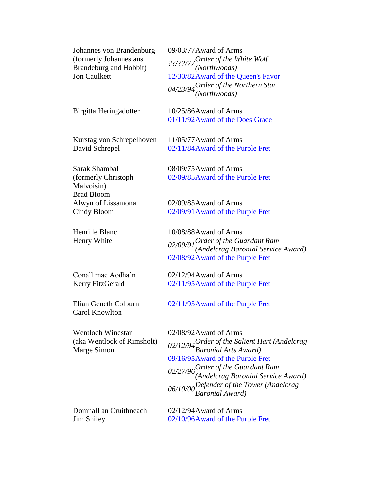Johannes von Brandenburg (formerly Johannes aus Brandeburg and Hobbit) Jon Caulkett

Birgitta Heringadotter 10/25/86Award of Arms

Kurstag von Schrepelhoven David Schrepel

Sarak Shambal (formerly Christoph Malvoisin) Brad Bloom Alwyn of Lissamona Cindy Bloom

Henri le Blanc Henry White

Conall mac Aodha'n Kerry FitzGerald

Elian Geneth Colburn Carol Knowlton

Wentloch Windstar (aka Wentlock of Rimsholt) Marge Simon

Domnall an Cruithneach Jim Shiley

09/03/77Award of Arms *??/??/77Order of the White Wolf (Northwoods)* 12/30/82Award of the Queen's Favor *04/23/94Order of the Northern Star (Northwoods)*

01/11/92Award of the Does Grace

11/05/77Award of Arms 02/11/84Award of the Purple Fret

08/09/75Award of Arms 02/09/85Award of the Purple Fret

02/09/85Award of Arms 02/09/91Award of the Purple Fret

10/08/88Award of Arms *02/09/91Order of the Guardant Ram (Andelcrag Baronial Service Award)* 02/08/92Award of the Purple Fret

02/12/94Award of Arms 02/11/95Award of the Purple Fret

02/11/95Award of the Purple Fret

02/08/92Award of Arms *02/12/94Order of the Salient Hart (Andelcrag Baronial Arts Award)* 09/16/95Award of the Purple Fret *02/27/96Order of the Guardant Ram (Andelcrag Baronial Service Award) 06/10/00Defender of the Tower (Andelcrag Baronial Award)* 

02/12/94Award of Arms 02/10/96Award of the Purple Fret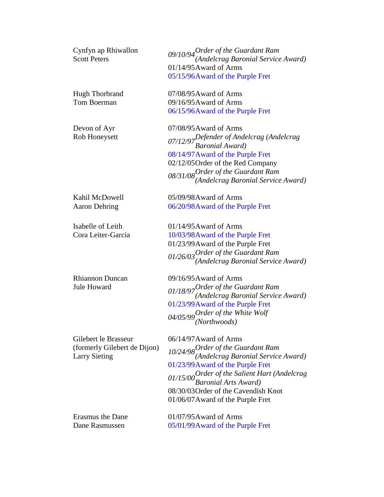| Cynfyn ap Rhiwallon<br><b>Scott Peters</b> | 09/10/94 Order of the Guardant Ram<br>(Andelcrag Baronial Service Award)   |
|--------------------------------------------|----------------------------------------------------------------------------|
|                                            | 01/14/95 Award of Arms                                                     |
|                                            | 05/15/96Award of the Purple Fret                                           |
| <b>Hugh Thorbrand</b>                      | 07/08/95 Award of Arms                                                     |
| Tom Boerman                                | 09/16/95 Award of Arms                                                     |
|                                            | 06/15/96 Award of the Purple Fret                                          |
| Devon of Ayr                               | 07/08/95 Award of Arms                                                     |
| Rob Honeysett                              | 07/12/97 Defender of Andelcrag (Andelcrag<br>Baronial Award)               |
|                                            | 08/14/97 Award of the Purple Fret                                          |
|                                            | 02/12/05 Order of the Red Company                                          |
|                                            | 08/31/08 Order of the Guardant Ram<br>(Andelcrag Baronial Service Award)   |
|                                            |                                                                            |
| Kahil McDowell                             | 05/09/98 Award of Arms                                                     |
| <b>Aaron Dehring</b>                       | 06/20/98Award of the Purple Fret                                           |
| Isabelle of Leith                          | $01/14/95$ Award of Arms                                                   |
| Cora Leiter-Garcia                         | 10/03/98 Award of the Purple Fret                                          |
|                                            | 01/23/99 Award of the Purple Fret                                          |
|                                            | $01/26/03$ Order of the Guardant Ram<br>(Andelcrag Baronial Service Award) |
|                                            |                                                                            |
| <b>Rhiannon Duncan</b>                     | 09/16/95 Award of Arms                                                     |
| <b>Jule Howard</b>                         | 01/18/97 Order of the Guardant Ram<br>(Andelcrag Baronial Service Award)   |
|                                            |                                                                            |
|                                            | 01/23/99 Award of the Purple Fret                                          |
|                                            | 04/05/99 Order of the White Wolf $(Northwoods)$                            |
| Gilebert le Brasseur                       | 06/14/97 Award of Arms                                                     |
| (formerly Gilebert de Dijon)               | 10/24/98 Order of the Guardant Ram<br>(Andelcrag Baronial Service Award)   |
| <b>Larry Sieting</b>                       | 01/23/99 Award of the Purple Fret                                          |
|                                            |                                                                            |
|                                            | 01/15/00 Order of the Salient Hart (Andelcrag<br>Baronial Arts Award)      |
|                                            | 08/30/03 Order of the Cavendish Knot                                       |
|                                            | 01/06/07 Award of the Purple Fret                                          |
| <b>Erasmus the Dane</b>                    | $01/07/95$ Award of Arms                                                   |
| Dane Rasmussen                             | 05/01/99 Award of the Purple Fret                                          |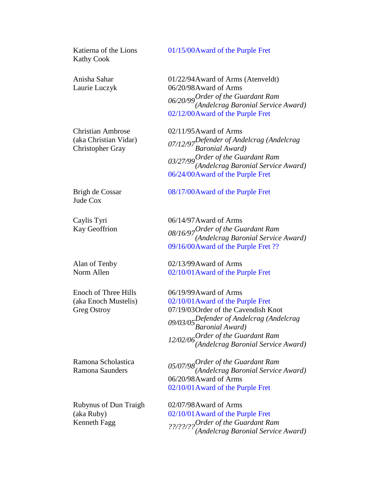| Katierna of the Lions<br><b>Kathy Cook</b>                                   | 01/15/00Award of the Purple Fret                                                                                                                                                                                                               |
|------------------------------------------------------------------------------|------------------------------------------------------------------------------------------------------------------------------------------------------------------------------------------------------------------------------------------------|
| Anisha Sahar<br>Laurie Luczyk                                                | 01/22/94 Award of Arms (Atenveldt)<br>06/20/98Award of Arms<br>06/20/99 Order of the Guardant Ram<br>(Andelcrag Baronial Service Award)<br>02/12/00Award of the Purple Fret                                                                    |
| <b>Christian Ambrose</b><br>(aka Christian Vidar)<br><b>Christopher Gray</b> | $02/11/95$ Award of Arms<br>07/12/97 Defender of Andelcrag (Andelcrag<br>Baronial Award)<br>03/27/99 Order of the Guardant Ram<br>(Andelcrag Baronial Service Award)<br>06/24/00Award of the Purple Fret                                       |
| Brigh de Cossar<br>Jude Cox                                                  | 08/17/00Award of the Purple Fret                                                                                                                                                                                                               |
| Caylis Tyri<br>Kay Geoffrion                                                 | 06/14/97 Award of Arms<br>08/16/97 Order of the Guardant Ram<br>(Andelcrag Baronial Service Award)<br>09/16/00Award of the Purple Fret ??                                                                                                      |
| Alan of Tenby<br>Norm Allen                                                  | 02/13/99 Award of Arms<br>02/10/01 Award of the Purple Fret                                                                                                                                                                                    |
| Enoch of Three Hills<br>(aka Enoch Mustelis)<br><b>Greg Ostroy</b>           | 06/19/99 Award of Arms<br>02/10/01 Award of the Purple Fret<br>07/19/03 Order of the Cavendish Knot<br>09/03/05Defender of Andelcrag (Andelcrag<br>Baronial Award)<br>12/02/06 Order of the Guardant Ram<br>(Andelcrag Baronial Service Award) |
| Ramona Scholastica<br>Ramona Saunders                                        | $05/07/98$ Order of the Guardant Ram<br>(Andelcrag Baronial Service Award)<br>06/20/98Award of Arms<br>02/10/01 Award of the Purple Fret                                                                                                       |
| <b>Rubynus of Dun Traigh</b><br>(aka Ruby)<br>Kenneth Fagg                   | 02/07/98Award of Arms<br>02/10/01 Award of the Purple Fret<br>??/??/?? <sup>Order</sup> of the Guardant Ram<br>(Andelcrag Baronial Service Award)                                                                                              |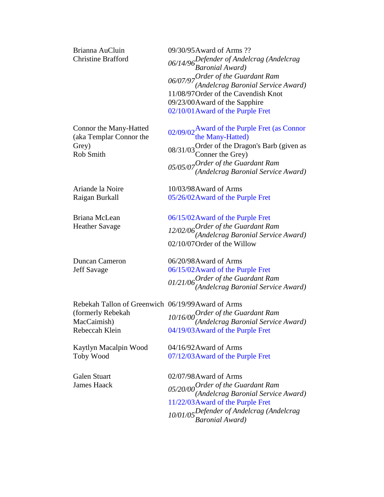| Brianna AuCluin<br><b>Christine Brafford</b>                            | 09/30/95 Award of Arms ??<br>06/14/96 Defender of Andelcrag (Andelcrag<br>Baronial Award)<br>06/07/97 Order of the Guardant Ram<br>(Andelcrag Baronial Service Award)<br>11/08/97 Order of the Cavendish Knot<br>09/23/00Award of the Sapphire<br>02/10/01 Award of the Purple Fret |
|-------------------------------------------------------------------------|-------------------------------------------------------------------------------------------------------------------------------------------------------------------------------------------------------------------------------------------------------------------------------------|
| Connor the Many-Hatted<br>(aka Templar Connor the<br>Grey)<br>Rob Smith | 02/09/02 Award of the Purple Fret (as Connor<br>the Many-Hatted)<br>08/31/03 Order of the Dragon's Barb (given as<br>Conner the Grey)<br>$05/05/07$ Order of the Guardant Ram<br>(Andelcrag Baronial Service Award)                                                                 |
| Ariande la Noire                                                        | 10/03/98 Award of Arms                                                                                                                                                                                                                                                              |
| Raigan Burkall                                                          | 05/26/02 Award of the Purple Fret                                                                                                                                                                                                                                                   |
| Briana McLean<br><b>Heather Savage</b>                                  | 06/15/02 Award of the Purple Fret<br>12/02/06 Order of the Guardant Ram<br>(Andelcrag Baronial Service Award)<br>02/10/07 Order of the Willow                                                                                                                                       |
| <b>Duncan Cameron</b>                                                   | 06/20/98Award of Arms                                                                                                                                                                                                                                                               |
| <b>Jeff Savage</b>                                                      | 06/15/02 Award of the Purple Fret                                                                                                                                                                                                                                                   |
|                                                                         | $01/21/06$ Order of the Guardant Ram<br>(Andelcrag Baronial Service Award)                                                                                                                                                                                                          |
| Rebekah Tallon of Greenwich 06/19/99 Award of Arms                      |                                                                                                                                                                                                                                                                                     |
| (formerly Rebekah<br>MacCaimish)                                        | $10/16/00$ Order of the Guardant Ram<br>(Andelcrag Baronial Service Award)                                                                                                                                                                                                          |
| Rebeccah Klein                                                          | 04/19/03 Award of the Purple Fret                                                                                                                                                                                                                                                   |
| Kaytlyn Macalpin Wood                                                   | 04/16/92 Award of Arms                                                                                                                                                                                                                                                              |
| <b>Toby Wood</b>                                                        | 07/12/03 Award of the Purple Fret                                                                                                                                                                                                                                                   |
| <b>Galen Stuart</b><br><b>James Haack</b>                               | 02/07/98 Award of Arms<br>$05/20/00$ <i>Order of the Guardant Ram</i><br>(Andelcrag Baronial Service Award)<br>11/22/03 Award of the Purple Fret<br>10/01/05Defender of Andelcrag (Andelcrag<br>Baronial Award)                                                                     |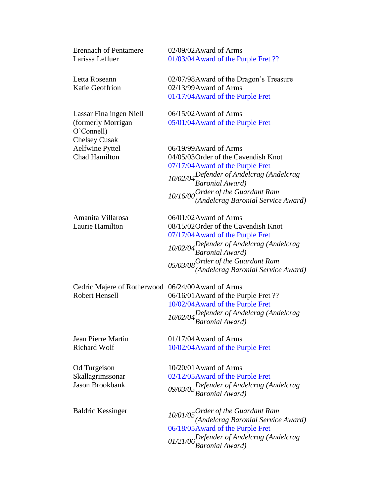| <b>Erennach of Pentamere</b><br>Larissa Lefluer                                     | 02/09/02 Award of Arms<br>01/03/04 Award of the Purple Fret ??                                                                                                                                                                                    |
|-------------------------------------------------------------------------------------|---------------------------------------------------------------------------------------------------------------------------------------------------------------------------------------------------------------------------------------------------|
| Letta Roseann<br><b>Katie Geoffrion</b>                                             | 02/07/98 Award of the Dragon's Treasure<br>02/13/99 Award of Arms<br>01/17/04 Award of the Purple Fret                                                                                                                                            |
| Lassar Fina ingen Niell<br>(formerly Morrigan<br>O'Connell)<br><b>Chelsey Cusak</b> | 06/15/02 Award of Arms<br>05/01/04 Award of the Purple Fret                                                                                                                                                                                       |
| <b>Aelfwine Pyttel</b><br><b>Chad Hamilton</b>                                      | 06/19/99 Award of Arms<br>04/05/03 Order of the Cavendish Knot<br>07/17/04 Award of the Purple Fret<br>10/02/04 Defender of Andelcrag (Andelcrag<br>Baronial Award)<br>$10/16/00$ Order of the Guardant Ram<br>(Andelcrag Baronial Service Award) |
| Amanita Villarosa<br>Laurie Hamilton                                                | 06/01/02 Award of Arms<br>08/15/02 Order of the Cavendish Knot<br>07/17/04 Award of the Purple Fret<br>10/02/04 Defender of Andelcrag (Andelcrag<br>Baronial Award)<br>$05/03/08$ Order of the Guardant Ram<br>(Andelcrag Baronial Service Award) |
| Cedric Majere of Rotherwood 06/24/00Award of Arms<br><b>Robert Hensell</b>          | 06/16/01 Award of the Purple Fret ??<br>10/02/04 Award of the Purple Fret<br>10/02/04 Defender of Andelcrag (Andelcrag<br>Baronial Award)                                                                                                         |
| <b>Jean Pierre Martin</b><br><b>Richard Wolf</b>                                    | $01/17/04$ Award of Arms<br>10/02/04 Award of the Purple Fret                                                                                                                                                                                     |
| Od Turgeison<br>Skallagrimssonar<br><b>Jason Brookbank</b>                          | $10/20/01$ Award of Arms<br>02/12/05 Award of the Purple Fret<br>09/03/05Defender of Andelcrag (Andelcrag<br>Baronial Award)                                                                                                                      |
| <b>Baldric Kessinger</b>                                                            | $10/01/05$ Order of the Guardant Ram<br>(Andelcrag Baronial Service Award)<br>06/18/05 Award of the Purple Fret<br>01/21/06 Defender of Andelcrag (Andelcrag<br>Baronial Award)                                                                   |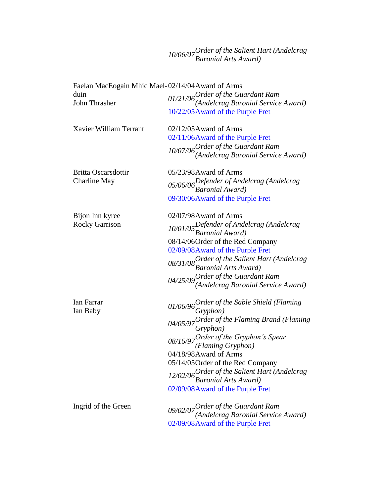## *10/06/07Order of the Salient Hart (Andelcrag Baronial Arts Award)*

|                            | Faelan MacEogain Mhic Mael-02/14/04 Award of Arms                                                                         |
|----------------------------|---------------------------------------------------------------------------------------------------------------------------|
| duin<br>John Thrasher      | $01/21/06$ Order of the Guardant Ram<br>(Andelcrag Baronial Service Award)                                                |
|                            | 10/22/05 Award of the Purple Fret                                                                                         |
| Xavier William Terrant     | $02/12/05$ Award of Arms                                                                                                  |
|                            | 02/11/06Award of the Purple Fret                                                                                          |
|                            | $10/07/06$ Order of the Guardant Ram<br>(Andelcrag Baronial Service Award)                                                |
| <b>Britta Oscarsdottir</b> | 05/23/98 Award of Arms                                                                                                    |
| Charline May               | 05/06/06 Defender of Andelcrag (Andelcrag<br>Baronial Award)                                                              |
|                            | 09/30/06Award of the Purple Fret                                                                                          |
| Bijon Inn kyree            | 02/07/98 Award of Arms                                                                                                    |
| <b>Rocky Garrison</b>      | 10/01/05 Defender of Andelcrag (Andelcrag<br>Baronial Award)                                                              |
|                            | 08/14/06Order of the Red Company                                                                                          |
|                            | 02/09/08 Award of the Purple Fret                                                                                         |
|                            | 08/31/08 Order of the Salient Hart (Andelcrag<br>Baronial Arts Award)                                                     |
|                            | $04/25/09$ Order of the Guardant Ram<br>(Andelcrag Baronial Service Award)                                                |
| Ian Farrar<br>Ian Baby     | 01/06/96 Order of the Sable Shield (Flaming<br>Gryphon)<br>04/05/97 Order of the Flaming Brand (Flaming 04/05/97 Gryphon) |
|                            |                                                                                                                           |
|                            | 08/16/97 Order of the Gryphon's Spear<br>(Flaming Gryphon)                                                                |
|                            | 04/18/98 Award of Arms                                                                                                    |
|                            | 05/14/05 Order of the Red Company                                                                                         |
|                            | 12/02/06 Order of the Salient Hart (Andelcrag<br>Baronial Arts Award)                                                     |
|                            | 02/09/08 Award of the Purple Fret                                                                                         |
| Ingrid of the Green        |                                                                                                                           |
|                            | $09/02/07$ Order of the Guardant Ram<br>(Andelcrag Baronial Service Award)                                                |
|                            | 02/09/08 Award of the Purple Fret                                                                                         |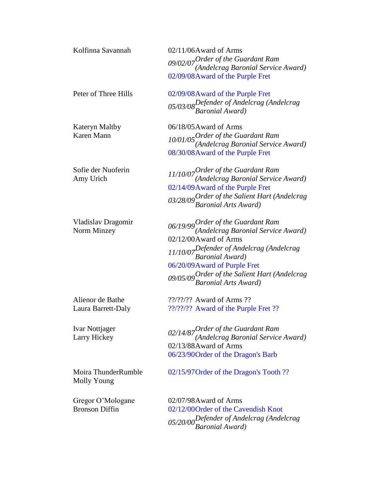| Kolfinna Savannah                          | 02/11/06Award of Arms<br>$09/02/07$ Order of the Guardant Ram<br>(Andelcrag Baronial Service Award)<br>02/09/08 Award of the Purple Fret                                                                                                                                      |
|--------------------------------------------|-------------------------------------------------------------------------------------------------------------------------------------------------------------------------------------------------------------------------------------------------------------------------------|
| Peter of Three Hills                       | 02/09/08 Award of the Purple Fret<br>05/03/08 Defender of Andelcrag (Andelcrag<br>Baronial Award)                                                                                                                                                                             |
| <b>Kateryn Maltby</b><br>Karen Mann        | 06/18/05 Award of Arms<br>$10/01/05$ Order of the Guardant Ram<br>(Andelcrag Baronial Service Award)<br>08/30/08 Award of the Purple Fret                                                                                                                                     |
| Sofie der Nuoferin<br>Amy Urich            | $11/10/07$ Order of the Guardant Ram<br>(Andelcrag Baronial Service Award)<br>02/14/09 Award of the Purple Fret<br>03/28/09 Order of the Salient Hart (Andelcrag<br>Baronial Arts Award)                                                                                      |
| Vladislav Dragomir<br>Norm Minzey          | $06/19/99$ Order of the Guardant Ram<br>(Andelcrag Baronial Service Award)<br>02/12/00Award of Arms<br>11/10/07 Defender of Andelcrag (Andelcrag<br>Baronial Award)<br>06/20/09 Award of Purple Fret<br>09/05/09 Order of the Salient Hart (Andelcrag<br>Baronial Arts Award) |
| Alienor de Bathe<br>Laura Barrett-Daly     | $??/????$ Award of Arms ??<br>??/??/?? Award of the Purple Fret ??                                                                                                                                                                                                            |
| Ivar Nottjager<br>Larry Hickey             | $02/14/87$ Order of the Guardant Ram<br>(Andelcrag Baronial Service Award)<br>02/13/88Award of Arms<br>06/23/90 Order of the Dragon's Barb                                                                                                                                    |
| Moira ThunderRumble<br>Molly Young         | 02/15/97 Order of the Dragon's Tooth ??                                                                                                                                                                                                                                       |
| Gregor O'Mologane<br><b>Bronson Diffin</b> | 02/07/98 Award of Arms<br>02/12/00Order of the Cavendish Knot<br>05/20/00 Defender of Andelcrag (Andelcrag<br>Baronial Award)                                                                                                                                                 |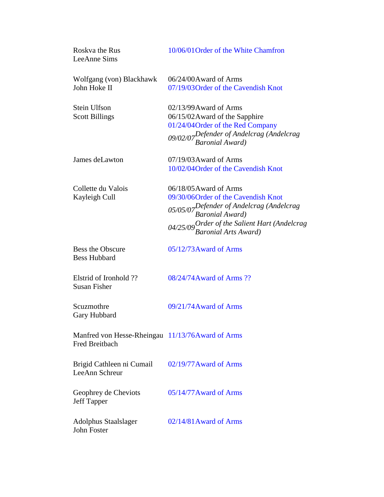| Roskva the Rus<br>LeeAnne Sims                                            | 10/06/01 Order of the White Chamfron                                                                                                                                                                  |
|---------------------------------------------------------------------------|-------------------------------------------------------------------------------------------------------------------------------------------------------------------------------------------------------|
| Wolfgang (von) Blackhawk<br>John Hoke II                                  | 06/24/00Award of Arms<br>07/19/03 Order of the Cavendish Knot                                                                                                                                         |
| Stein Ulfson<br><b>Scott Billings</b>                                     | $02/13/99$ Award of Arms<br>06/15/02 Award of the Sapphire<br>01/24/04 Order of the Red Company<br>09/02/07Defender of Andelcrag (Andelcrag<br>Baronial Award)                                        |
| James deLawton                                                            | $07/19/03$ Award of Arms<br>10/02/04 Order of the Cavendish Knot                                                                                                                                      |
| Collette du Valois<br>Kayleigh Cull                                       | 06/18/05 Award of Arms<br>09/30/06Order of the Cavendish Knot<br>05/05/07Defender of Andelcrag (Andelcrag<br>Baronial Award)<br>04/25/09 Order of the Salient Hart (Andelcrag<br>Baronial Arts Award) |
| <b>Bess the Obscure</b><br><b>Bess Hubbard</b>                            | 05/12/73 Award of Arms                                                                                                                                                                                |
| Elstrid of Ironhold ??<br><b>Susan Fisher</b>                             | 08/24/74 Award of Arms ??                                                                                                                                                                             |
| Scuzmothre<br>Gary Hubbard                                                | 09/21/74 Award of Arms                                                                                                                                                                                |
| Manfred von Hesse-Rheingau 11/13/76Award of Arms<br><b>Fred Breitbach</b> |                                                                                                                                                                                                       |
| Brigid Cathleen ni Cumail<br>LeeAnn Schreur                               | 02/19/77 Award of Arms                                                                                                                                                                                |
| Geophrey de Cheviots<br><b>Jeff Tapper</b>                                | 05/14/77 Award of Arms                                                                                                                                                                                |
| <b>Adolphus Staalslager</b><br>John Foster                                | 02/14/81 Award of Arms                                                                                                                                                                                |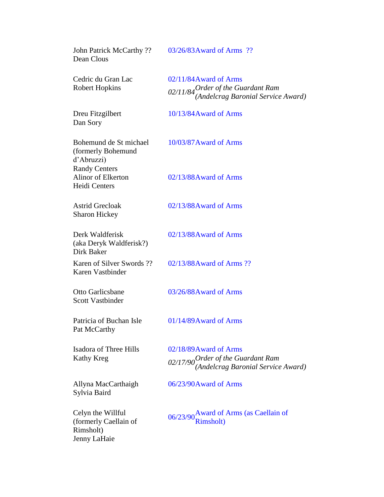| John Patrick McCarthy ??<br>Dean Clous                                  | 03/26/83 Award of Arms ??                                                                          |
|-------------------------------------------------------------------------|----------------------------------------------------------------------------------------------------|
| Cedric du Gran Lac<br><b>Robert Hopkins</b>                             | 02/11/84 Award of Arms<br>02/11/84 Order of the Guardant Ram<br>(Andelcrag Baronial Service Award) |
| Dreu Fitzgilbert<br>Dan Sory                                            | 10/13/84 Award of Arms                                                                             |
| Bohemund de St michael<br>(formerly Bohemund<br>d'Abruzzi)              | 10/03/87 Award of Arms                                                                             |
| <b>Randy Centers</b><br>Alinor of Elkerton<br><b>Heidi Centers</b>      | 02/13/88Award of Arms                                                                              |
| <b>Astrid Grecloak</b><br><b>Sharon Hickey</b>                          | 02/13/88Award of Arms                                                                              |
| Derk Waldferisk<br>(aka Deryk Waldferisk?)<br>Dirk Baker                | 02/13/88Award of Arms                                                                              |
| Karen of Silver Swords ??<br>Karen Vastbinder                           | 02/13/88 Award of Arms ??                                                                          |
| Otto Garlicsbane<br><b>Scott Vastbinder</b>                             | 03/26/88Award of Arms                                                                              |
| Patricia of Buchan Isle<br>Pat McCarthy                                 | 01/14/89 Award of Arms                                                                             |
| <b>Isadora of Three Hills</b><br>Kathy Kreg                             | 02/18/89Award of Arms<br>02/17/90 Order of the Guardant Ram<br>(Andelcrag Baronial Service Award)  |
| Allyna MacCarthaigh<br>Sylvia Baird                                     | 06/23/90 Award of Arms                                                                             |
| Celyn the Willful<br>(formerly Caellain of<br>Rimsholt)<br>Jenny LaHaie | 06/23/90 Award of Arms (as Caellain of Rimsholt)                                                   |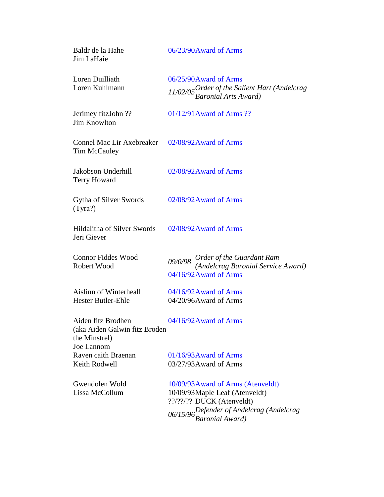| Baldr de la Hahe<br>Jim LaHaie                                                     | 06/23/90Award of Arms                                                   |
|------------------------------------------------------------------------------------|-------------------------------------------------------------------------|
| Loren Duilliath                                                                    | 06/25/90 Award of Arms                                                  |
| Loren Kuhlmann                                                                     | 11/02/05 Order of the Salient Hart (Andelcrag<br>Baronial Arts Award)   |
| Jerimey fitzJohn ??<br><b>Jim Knowlton</b>                                         | $01/12/91$ Award of Arms ??                                             |
| Connel Mac Lir Axebreaker<br>Tim McCauley                                          | 02/08/92 Award of Arms                                                  |
| Jakobson Underhill<br><b>Terry Howard</b>                                          | 02/08/92 Award of Arms                                                  |
| Gytha of Silver Swords<br>(Tyra?)                                                  | 02/08/92 Award of Arms                                                  |
| Hildalitha of Silver Swords<br>Jeri Giever                                         | 02/08/92 Award of Arms                                                  |
| <b>Connor Fiddes Wood</b>                                                          | 09/0/98 Order of the Guardant Ram<br>(Andelcrag Baronial Service Award) |
| Robert Wood                                                                        | 04/16/92 Award of Arms                                                  |
| <b>Aislinn of Winterheall</b>                                                      | 04/16/92 Award of Arms                                                  |
| Hester Butler-Ehle                                                                 | 04/20/96Award of Arms                                                   |
| Aiden fitz Brodhen<br>(aka Aiden Galwin fitz Broden<br>the Minstrel)<br>Joe Lannom | 04/16/92 Award of Arms                                                  |
| Raven caith Braenan                                                                | $01/16/93$ Award of Arms                                                |
| Keith Rodwell                                                                      | 03/27/93 Award of Arms                                                  |
| Gwendolen Wold                                                                     | 10/09/93 Award of Arms (Atenveldt)                                      |
| Lissa McCollum                                                                     | 10/09/93 Maple Leaf (Atenveldt)                                         |
|                                                                                    | ??/??/?? DUCK (Atenveldt)                                               |
|                                                                                    | 06/15/96 Defender of Andelcrag (Andelcrag<br>Baronial Award)            |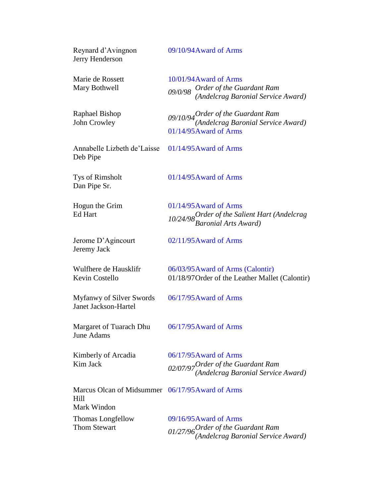| Reynard d'Avingnon<br>Jerry Henderson                                   | 09/10/94 Award of Arms                                                                               |
|-------------------------------------------------------------------------|------------------------------------------------------------------------------------------------------|
| Marie de Rossett<br>Mary Bothwell                                       | 10/01/94 Award of Arms<br>09/0/98 Order of the Guardant Ram<br>(Andelcrag Baronial Service Award)    |
| <b>Raphael Bishop</b><br>John Crowley                                   | 09/10/94 Order of the Guardant Ram<br>(Andelcrag Baronial Service Award)<br>01/14/95 Award of Arms   |
| Annabelle Lizbeth de'Laisse<br>Deb Pipe                                 | $01/14/95$ Award of Arms                                                                             |
| Tys of Rimsholt<br>Dan Pipe Sr.                                         | $01/14/95$ Award of Arms                                                                             |
| Hogun the Grim<br>Ed Hart                                               | 01/14/95 Award of Arms<br>10/24/98 Order of the Salient Hart (Andelcrag<br>Baronial Arts Award)      |
| Jerome D'Agincourt<br>Jeremy Jack                                       | $02/11/95$ Award of Arms                                                                             |
| Wulfhere de Hausklifr<br>Kevin Costello                                 | 06/03/95 Award of Arms (Calontir)<br>01/18/97 Order of the Leather Mallet (Calontir)                 |
| <b>Myfanwy of Silver Swords</b><br>Janet Jackson-Hartel                 | 06/17/95 Award of Arms                                                                               |
| Margaret of Tuarach Dhu<br>June Adams                                   | 06/17/95 Award of Arms                                                                               |
| Kimberly of Arcadia<br>Kim Jack                                         | 06/17/95 Award of Arms<br>$02/07/97$ Order of the Guardant Ram<br>(Andelcrag Baronial Service Award) |
| Marcus Olcan of Midsummer 06/17/95 Award of Arms<br>Hill<br>Mark Windon |                                                                                                      |
| Thomas Longfellow<br><b>Thom Stewart</b>                                | 09/16/95 Award of Arms<br>$01/27/96$ Order of the Guardant Ram<br>(Andelcrag Baronial Service Award) |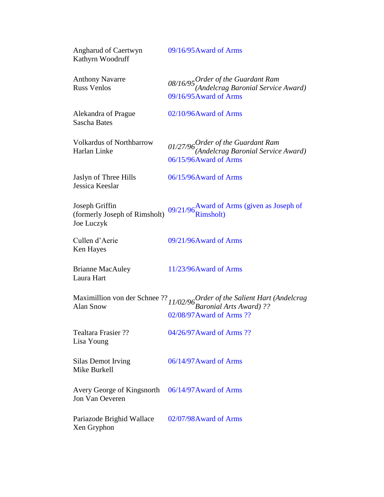| <b>Angharud of Caertwyn</b><br>Kathyrn Woodruff               | 09/16/95 Award of Arms                                                                                               |
|---------------------------------------------------------------|----------------------------------------------------------------------------------------------------------------------|
| <b>Anthony Navarre</b><br><b>Russ Venlos</b>                  | 08/16/95 Order of the Guardant Ram<br>(Andelcrag Baronial Service Award)<br>09/16/95 Award of Arms                   |
| Alekandra of Prague<br><b>Sascha Bates</b>                    | 02/10/96Award of Arms                                                                                                |
| <b>Volkardus of Northbarrow</b><br>Harlan Linke               | $01/27/96$ Order of the Guardant Ram<br>(Andelcrag Baronial Service Award)<br>06/15/96Award of Arms                  |
| Jaslyn of Three Hills<br>Jessica Keeslar                      | 06/15/96 Award of Arms                                                                                               |
| Joseph Griffin<br>(formerly Joseph of Rimsholt)<br>Joe Luczyk | 09/21/96 Award of Arms (given as Joseph of Rimsholt)                                                                 |
| Cullen d'Aerie<br>Ken Hayes                                   | 09/21/96Award of Arms                                                                                                |
| <b>Brianne MacAuley</b><br>Laura Hart                         | 11/23/96Award of Arms                                                                                                |
|                                                               | Maximillion von der Schnee ?? $11/02/96$ Order of the Salient Hart (Andelcrag Alan Snow<br>02/08/97 Award of Arms ?? |
| <b>Tealtara Frasier ??</b><br>Lisa Young                      | 04/26/97 Award of Arms ??                                                                                            |
| Silas Demot Irving<br>Mike Burkell                            | 06/14/97 Award of Arms                                                                                               |
| Avery George of Kingsnorth<br>Jon Van Oeveren                 | 06/14/97 Award of Arms                                                                                               |
| Pariazode Brighid Wallace<br>Xen Gryphon                      | 02/07/98 Award of Arms                                                                                               |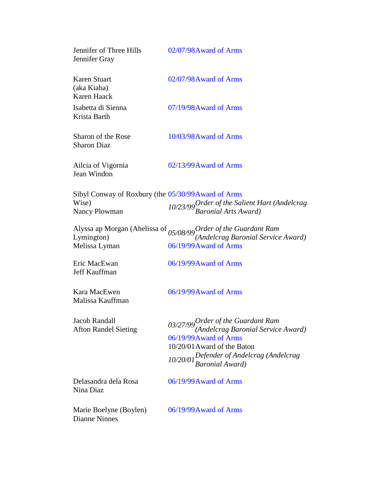| Jennifer of Three Hills<br>Jennifer Gray            | 02/07/98 Award of Arms                                                                                                                                                                            |
|-----------------------------------------------------|---------------------------------------------------------------------------------------------------------------------------------------------------------------------------------------------------|
| Karen Stuart<br>(aka Kiaha)<br>Karen Haack          | 02/07/98 Award of Arms                                                                                                                                                                            |
| Isabetta di Sienna<br>Krista Barth                  | 07/19/98 Award of Arms                                                                                                                                                                            |
| <b>Sharon of the Rose</b><br><b>Sharon Diaz</b>     | 10/03/98 Award of Arms                                                                                                                                                                            |
| Ailcia of Vigornia<br>Jean Windon                   | 02/13/99 Award of Arms                                                                                                                                                                            |
| Sibyl Conway of Roxbury (the 05/30/99 Award of Arms |                                                                                                                                                                                                   |
| Wise)<br><b>Nancy Plowman</b>                       | 10/23/99 Order of the Salient Hart (Andelcrag<br>Baronial Arts Award)                                                                                                                             |
| Melissa Lyman                                       | Alyssa ap Morgan (Ahelissa of <sub>05/08/99</sub> Order of the Guardant Ram<br>Lymington) (Andelcrag Baronial Service Award)<br>06/19/99 Award of Arms                                            |
| Eric MacEwan<br>Jeff Kauffman                       | 06/19/99 Award of Arms                                                                                                                                                                            |
| Kara MacEwen<br>Malissa Kauffman                    | 06/19/99 Award of Arms                                                                                                                                                                            |
| Jacob Randall<br><b>Afton Randel Sieting</b>        | 03/27/99 Order of the Guardant Ram<br>(Andelcrag Baronial Service Award)<br>06/19/99 Award of Arms<br>10/20/01 Award of the Baton<br>10/20/01 Defender of Andelcrag (Andelcrag<br>Baronial Award) |
| Delasandra dela Rosa<br>Nina Diaz                   | 06/19/99 Award of Arms                                                                                                                                                                            |
| Marie Boelyne (Boylen)<br><b>Dianne Ninnes</b>      | 06/19/99 Award of Arms                                                                                                                                                                            |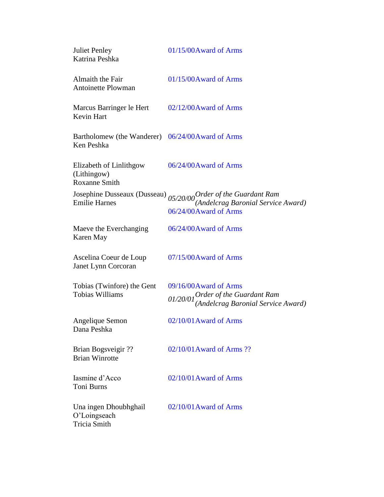| <b>Juliet Penley</b><br>Katrina Peshka                         | 01/15/00Award of Arms                                                                                      |
|----------------------------------------------------------------|------------------------------------------------------------------------------------------------------------|
| Almaith the Fair<br><b>Antoinette Plowman</b>                  | $01/15/00A$ ward of Arms                                                                                   |
| Marcus Barringer le Hert<br><b>Kevin Hart</b>                  | 02/12/00Award of Arms                                                                                      |
| Bartholomew (the Wanderer) 06/24/00Award of Arms<br>Ken Peshka |                                                                                                            |
| Elizabeth of Linlithgow<br>(Lithingow)<br><b>Roxanne Smith</b> | 06/24/00 Award of Arms                                                                                     |
| Josephine Dusseaux (Dusseau)<br><b>Emilie Harnes</b>           | $05/20/00$ <i>Order of the Guardant Ram</i><br>(Andelcrag Baronial Service Award)<br>06/24/00Award of Arms |
| Maeve the Everchanging<br>Karen May                            | 06/24/00Award of Arms                                                                                      |
| Ascelina Coeur de Loup<br>Janet Lynn Corcoran                  | 07/15/00Award of Arms                                                                                      |
| Tobias (Twinfore) the Gent<br><b>Tobias Williams</b>           | 09/16/00Award of Arms<br>01/20/01 Order of the Guardant Ram<br>(Andelcrag Baronial Service Award)          |
| Angelique Semon<br>Dana Peshka                                 | $02/10/01$ Award of Arms                                                                                   |
| Brian Bogsveigir ??<br><b>Brian Winrotte</b>                   | 02/10/01 Award of Arms ??                                                                                  |
| Iasmine d'Acco<br><b>Toni Burns</b>                            | $02/10/01$ Award of Arms                                                                                   |
| Una ingen Dhoubhghail<br>O'Loingseach<br><b>Tricia Smith</b>   | $02/10/01$ Award of Arms                                                                                   |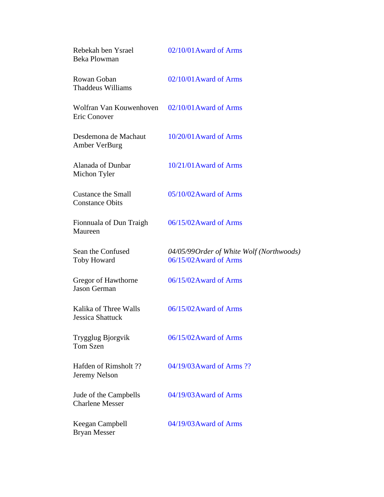| Rebekah ben Ysrael<br>Beka Plowman                             | 02/10/01 Award of Arms                                              |
|----------------------------------------------------------------|---------------------------------------------------------------------|
| Rowan Goban<br>Thaddeus Williams                               | 02/10/01 Award of Arms                                              |
| Wolfran Van Kouwenhoven 02/10/01 Award of Arms<br>Eric Conover |                                                                     |
| Desdemona de Machaut<br><b>Amber VerBurg</b>                   | $10/20/01$ Award of Arms                                            |
| Alanada of Dunbar<br>Michon Tyler                              | $10/21/01$ Award of Arms                                            |
| <b>Custance the Small</b><br><b>Constance Obits</b>            | $05/10/02$ Award of Arms                                            |
| Fionnuala of Dun Traigh<br>Maureen                             | 06/15/02 Award of Arms                                              |
| Sean the Confused<br><b>Toby Howard</b>                        | 04/05/99 Order of White Wolf (Northwoods)<br>06/15/02 Award of Arms |
| Gregor of Hawthorne<br>Jason German                            | 06/15/02 Award of Arms                                              |
| Kalika of Three Walls<br>Jessica Shattuck                      | 06/15/02 Award of Arms                                              |
| Trygglug Bjorgvik<br>Tom Szen                                  | 06/15/02 Award of Arms                                              |
| Hafden of Rimsholt ??<br>Jeremy Nelson                         | 04/19/03 Award of Arms ??                                           |
| Jude of the Campbells<br><b>Charlene Messer</b>                | 04/19/03 Award of Arms                                              |
| Keegan Campbell<br>Bryan Messer                                | 04/19/03 Award of Arms                                              |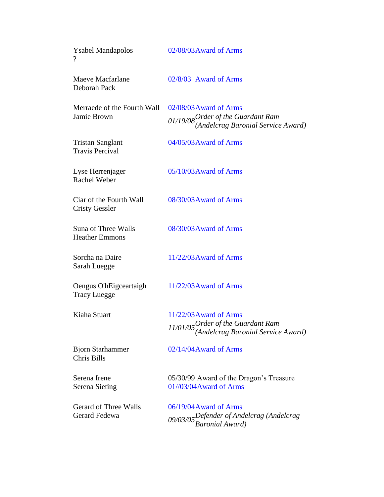| <b>Ysabel Mandapolos</b><br>$\gamma$             | 02/08/03 Award of Arms                                                                               |
|--------------------------------------------------|------------------------------------------------------------------------------------------------------|
| <b>Maeve Macfarlane</b><br>Deborah Pack          | 02/8/03 Award of Arms                                                                                |
| Merraede of the Fourth Wall<br>Jamie Brown       | 02/08/03 Award of Arms<br>01/19/08 Order of the Guardant Ram<br>(Andelcrag Baronial Service Award)   |
| Tristan Sanglant<br><b>Travis Percival</b>       | 04/05/03 Award of Arms                                                                               |
| Lyse Herrenjager<br><b>Rachel Weber</b>          | 05/10/03 Award of Arms                                                                               |
| Ciar of the Fourth Wall<br><b>Cristy Gessler</b> | 08/30/03 Award of Arms                                                                               |
| Suna of Three Walls<br><b>Heather Emmons</b>     | 08/30/03 Award of Arms                                                                               |
| Sorcha na Daire<br>Sarah Luegge                  | 11/22/03 Award of Arms                                                                               |
| Oengus O'hEigceartaigh<br><b>Tracy Luegge</b>    | $11/22/03$ Award of Arms                                                                             |
| Kiaha Stuart                                     | $11/22/03$ Award of Arms<br>11/01/05 Order of the Guardant Ram<br>(Andelcrag Baronial Service Award) |
| <b>Bjorn Starhammer</b><br>Chris Bills           | 02/14/04 Award of Arms                                                                               |
| Serena Irene<br><b>Serena Sieting</b>            | 05/30/99 Award of the Dragon's Treasure<br>01//03/04Award of Arms                                    |
| <b>Gerard of Three Walls</b><br>Gerard Fedewa    | 06/19/04 Award of Arms<br>09/03/05Defender of Andelcrag (Andelcrag<br>Baronial Award)                |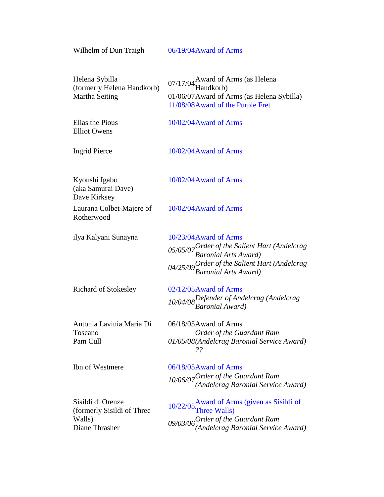Wilhelm of Dun Traigh 06/19/04 Award of Arms

| Helena Sybilla<br>(formerly Helena Handkorb)<br>Martha Seiting              | 07/17/04 Award of Arms (as Helena<br>Handkorb)                                                                                                                           |  |
|-----------------------------------------------------------------------------|--------------------------------------------------------------------------------------------------------------------------------------------------------------------------|--|
|                                                                             | 01/06/07 Award of Arms (as Helena Sybilla)<br>11/08/08 Award of the Purple Fret                                                                                          |  |
| Elias the Pious<br><b>Elliot Owens</b>                                      | 10/02/04 Award of Arms                                                                                                                                                   |  |
| <b>Ingrid Pierce</b>                                                        | 10/02/04 Award of Arms                                                                                                                                                   |  |
| Kyoushi Igabo<br>(aka Samurai Dave)<br>Dave Kirksey                         | 10/02/04 Award of Arms                                                                                                                                                   |  |
| Laurana Colbet-Majere of<br>Rotherwood                                      | 10/02/04 Award of Arms                                                                                                                                                   |  |
| ilya Kalyani Sunayna                                                        | 10/23/04 Award of Arms<br>05/05/07 Order of the Salient Hart (Andelcrag<br>Baronial Arts Award)<br>04/25/09 Order of the Salient Hart (Andelcrag<br>Baronial Arts Award) |  |
| <b>Richard of Stokesley</b>                                                 | 02/12/05 Award of Arms<br>10/04/08 Defender of Andelcrag (Andelcrag<br>Baronial Award)                                                                                   |  |
| Antonia Lavinia Maria Di<br>Toscano<br>Pam Cull                             | 06/18/05 Award of Arms<br>Order of the Guardant Ram<br>01/05/08(Andelcrag Baronial Service Award)<br>??                                                                  |  |
| Ibn of Westmere                                                             | 06/18/05 Award of Arms<br>10/06/07 Order of the Guardant Ram<br>(Andelcrag Baronial Service Award)                                                                       |  |
| Sisildi di Orenze<br>(formerly Sisildi of Three<br>Walls)<br>Diane Thrasher | $10/22/05$ Award of Arms (given as Sisildi of<br>Three Walls)<br>$09/03/06$ Order of the Guardant Ram<br>(Andelcrag Baronial Service Award)                              |  |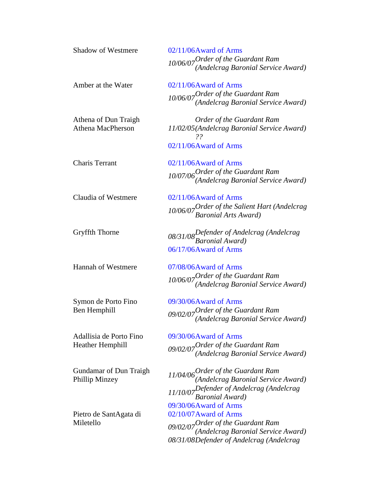| <b>Shadow of Westmere</b>     | 02/11/06Award of Arms                                                      |
|-------------------------------|----------------------------------------------------------------------------|
|                               | $10/06/07$ Order of the Guardant Ram<br>(Andelcrag Baronial Service Award) |
|                               |                                                                            |
| Amber at the Water            | $02/11/06$ Award of Arms                                                   |
|                               |                                                                            |
|                               | $10/06/07$ Order of the Guardant Ram<br>(Andelcrag Baronial Service Award) |
| Athena of Dun Traigh          | Order of the Guardant Ram                                                  |
| <b>Athena MacPherson</b>      | 11/02/05(Andelcrag Baronial Service Award)<br>22                           |
|                               | 02/11/06Award of Arms                                                      |
| <b>Charis Terrant</b>         | 02/11/06Award of Arms                                                      |
|                               |                                                                            |
|                               | $10/07/06$ Order of the Guardant Ram<br>(Andelcrag Baronial Service Award) |
| Claudia of Westmere           | $02/11/06$ Award of Arms                                                   |
|                               |                                                                            |
|                               | 10/06/07 Order of the Salient Hart (Andelcrag<br>Baronial Arts Award)      |
| Gryffth Thorne                | 08/31/08 Defender of Andelcrag (Andelcrag<br>Baronial Award)               |
|                               |                                                                            |
|                               | 06/17/06Award of Arms                                                      |
| <b>Hannah of Westmere</b>     | 07/08/06Award of Arms                                                      |
|                               | 10/06/07 Order of the Guardant Ram<br>(Andelcrag Baronial Service Award)   |
|                               |                                                                            |
| Symon de Porto Fino           | 09/30/06Award of Arms                                                      |
| Ben Hemphill                  | $09/02/07$ Order of the Guardant Ram<br>(Andelcrag Baronial Service Award) |
|                               |                                                                            |
| Adallisia de Porto Fino       | 09/30/06Award of Arms                                                      |
| <b>Heather Hemphill</b>       | 09/02/07 Order of the Guardant Ram<br>(Andelcrag Baronial Service Award)   |
|                               |                                                                            |
| <b>Gundamar of Dun Traigh</b> | $11/04/06$ Order of the Guardant Ram<br>(Andelcrag Baronial Service Award) |
| Phillip Minzey                |                                                                            |
|                               | $11/10/07$ Defender of Andelcrag (Andelcrag<br>Baronial Award)             |
|                               | 09/30/06Award of Arms                                                      |
| Pietro de SantAgata di        | 02/10/07 Award of Arms                                                     |
| Miletello                     |                                                                            |
|                               | $09/02/07$ Order of the Guardant Ram<br>(Andelcrag Baronial Service Award) |
|                               | 08/31/08Defender of Andelcrag (Andelcrag                                   |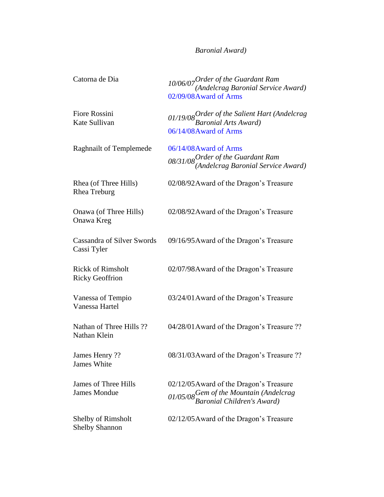## *Baronial Award)*

| Catorna de Dia                                     | 10/06/07 Order of the Guardant Ram<br>(Andelcrag Baronial Service Award)<br>02/09/08 Award of Arms               |
|----------------------------------------------------|------------------------------------------------------------------------------------------------------------------|
| Fiore Rossini<br>Kate Sullivan                     | 01/19/08 Order of the Salient Hart (Andelcrag<br>Baronial Arts Award)<br>06/14/08 Award of Arms                  |
| <b>Raghnailt of Templemede</b>                     | 06/14/08 Award of Arms<br>08/31/08 Order of the Guardant Ram<br>(Andelcrag Baronial Service Award)               |
| Rhea (of Three Hills)<br>Rhea Treburg              | 02/08/92 Award of the Dragon's Treasure                                                                          |
| Onawa (of Three Hills)<br>Onawa Kreg               | 02/08/92 Award of the Dragon's Treasure                                                                          |
| <b>Cassandra of Silver Swords</b><br>Cassi Tyler   | 09/16/95 Award of the Dragon's Treasure                                                                          |
| <b>Rickk of Rimsholt</b><br><b>Ricky Geoffrion</b> | 02/07/98 Award of the Dragon's Treasure                                                                          |
| Vanessa of Tempio<br>Vanessa Hartel                | 03/24/01 Award of the Dragon's Treasure                                                                          |
| Nathan of Three Hills ??<br>Nathan Klein           | 04/28/01 Award of the Dragon's Treasure ??                                                                       |
| James Henry?<br>James White                        | 08/31/03 Award of the Dragon's Treasure ??                                                                       |
| James of Three Hills<br><b>James Mondue</b>        | 02/12/05 Award of the Dragon's Treasure<br>01/05/08 Gem of the Mountain (Andelcrag<br>Baronial Children's Award) |
| Shelby of Rimsholt<br><b>Shelby Shannon</b>        | 02/12/05 Award of the Dragon's Treasure                                                                          |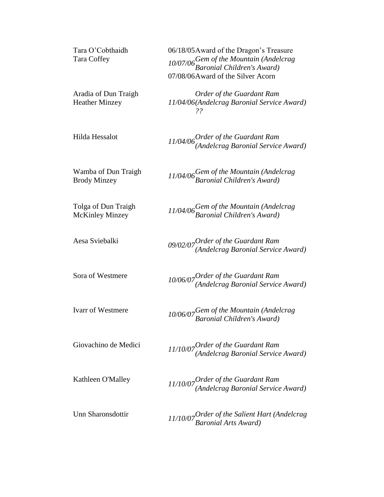| Tara O'Cobthaidh<br>Tara Coffey               | 06/18/05 Award of the Dragon's Treasure<br>10/07/06 Gem of the Mountain (Andelcrag<br>Baronial Children's Award)<br>07/08/06Award of the Silver Acorn |
|-----------------------------------------------|-------------------------------------------------------------------------------------------------------------------------------------------------------|
| Aradia of Dun Traigh<br><b>Heather Minzey</b> | Order of the Guardant Ram<br>11/04/06(Andelcrag Baronial Service Award)<br>??                                                                         |
| Hilda Hessalot                                | $11/04/06$ Order of the Guardant Ram<br>(Andelcrag Baronial Service Award)                                                                            |
| Wamba of Dun Traigh<br><b>Brody Minzey</b>    | 11/04/06 Gem of the Mountain (Andelcrag<br>Baronial Children's Award)                                                                                 |
| Tolga of Dun Traigh<br><b>McKinley Minzey</b> | 11/04/06 Gem of the Mountain (Andelcrag<br>Baronial Children's Award)                                                                                 |
| Aesa Sviebalki                                | $09/02/07$ Order of the Guardant Ram<br>(Andelcrag Baronial Service Award)                                                                            |
| Sora of Westmere                              | $10/06/07$ Order of the Guardant Ram<br>(Andelcrag Baronial Service Award)                                                                            |
| Ivarr of Westmere                             | 10/06/07 Gem of the Mountain (Andelcrag<br>Baronial Children's Award)                                                                                 |
| Giovachino de Medici                          | $11/10/07$ Order of the Guardant Ram<br>(Andelcrag Baronial Service Award)                                                                            |
| Kathleen O'Malley                             | $11/10/07$ Order of the Guardant Ram<br>(Andelcrag Baronial Service Award)                                                                            |
| Unn Sharonsdottir                             | 11/10/07 Order of the Salient Hart (Andelcrag<br>Baronial Arts Award)                                                                                 |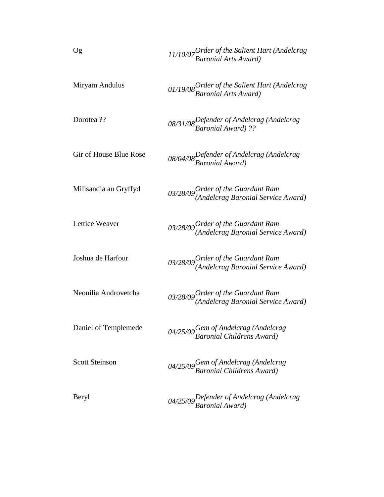| Og                     | 11/10/07 Order of the Salient Hart (Andelcrag<br>Baronial Arts Award)      |
|------------------------|----------------------------------------------------------------------------|
| Miryam Andulus         | 01/19/08 Order of the Salient Hart (Andelcrag<br>Baronial Arts Award)      |
| Dorotea??              | 08/31/08 Defender of Andelcrag (Andelcrag<br>Baronial Award) ??            |
| Gir of House Blue Rose | 08/04/08 Defender of Andelcrag (Andelcrag<br>Baronial Award)               |
| Milisandia au Gryffyd  | $03/28/09$ Order of the Guardant Ram<br>(Andelcrag Baronial Service Award) |
| Lettice Weaver         | $03/28/09$ Order of the Guardant Ram<br>(Andelcrag Baronial Service Award) |
| Joshua de Harfour      | $03/28/09$ Order of the Guardant Ram<br>(Andelcrag Baronial Service Award) |
| Neonilia Androvetcha   | $03/28/09$ Order of the Guardant Ram<br>(Andelcrag Baronial Service Award) |
| Daniel of Templemede   | 04/25/09 Gem of Andelcrag (Andelcrag<br>Baronial Childrens Award)          |
| <b>Scott Steinson</b>  | 04/25/09 Gem of Andelcrag (Andelcrag<br>Baronial Childrens Award)          |
| Beryl                  | 04/25/09 Defender of Andelcrag (Andelcrag<br>Baronial Award)               |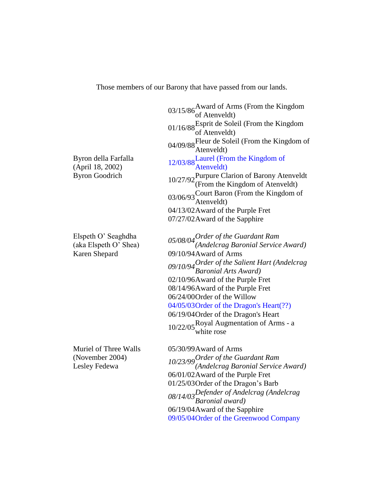Those members of our Barony that have passed from our lands.

| Byron della Farfalla<br>(April 18, 2002)<br><b>Byron Goodrich</b> | 03/15/86 Award of Arms (From the Kingdom<br>of Atenveldt)<br>01/16/88 Esprit de Soleil (From the Kingdom $01/16/88$ of Atenveldt)<br>04/09/88 Fleur de Soleil (From the Kingdom of<br>Atenveldt)<br>12/03/88 Laurel (From the Kingdom of<br>Atenveldt)<br>10/27/92 Purpure Clarion of Barony Atenveldt<br>(From the Kingdom of Atenveldt)<br>03/06/93 Court Baron (From the Kingdom of<br>Atenveldt)<br>04/13/02 Award of the Purple Fret |
|-------------------------------------------------------------------|-------------------------------------------------------------------------------------------------------------------------------------------------------------------------------------------------------------------------------------------------------------------------------------------------------------------------------------------------------------------------------------------------------------------------------------------|
|                                                                   | 07/27/02 Award of the Sapphire                                                                                                                                                                                                                                                                                                                                                                                                            |
| Elspeth O' Seaghdha<br>(aka Elspeth O' Shea)<br>Karen Shepard     | 05/08/04 Order of the Guardant Ram<br>(Andelcrag Baronial Service Award)<br>09/10/94 Award of Arms<br>09/10/94 Order of the Salient Hart (Andelcrag<br>Baronial Arts Award)<br>02/10/96Award of the Purple Fret<br>08/14/96Award of the Purple Fret<br>06/24/00 Order of the Willow<br>04/05/03 Order of the Dragon's Heart(??)<br>06/19/04 Order of the Dragon's Heart<br>10/22/05 Royal Augmentation of Arms - a<br>white rose          |
| Muriel of Three Walls<br>(November 2004)<br>Lesley Fedewa         | 05/30/99 Award of Arms<br>10/23/99 Order of the Guardant Ram<br>(Andelcrag Baronial Service Award)<br>06/01/02 Award of the Purple Fret<br>01/25/03 Order of the Dragon's Barb<br>08/14/03Defender of Andelcrag (Andelcrag<br>Baronial award)<br>06/19/04 Award of the Sapphire                                                                                                                                                           |

09/05/04Order of the Greenwood Company